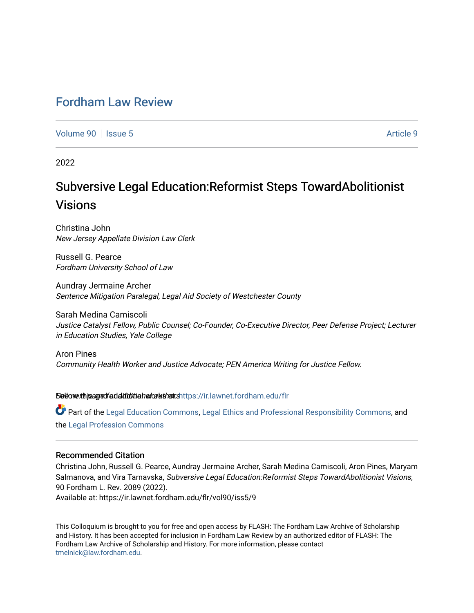# [Fordham Law Review](https://ir.lawnet.fordham.edu/flr)

[Volume 90](https://ir.lawnet.fordham.edu/flr/vol90) | [Issue 5](https://ir.lawnet.fordham.edu/flr/vol90/iss5) Article 9

2022

# Subversive Legal Education:Reformist Steps TowardAbolitionist Visions

Christina John New Jersey Appellate Division Law Clerk

Russell G. Pearce Fordham University School of Law

Aundray Jermaine Archer Sentence Mitigation Paralegal, Legal Aid Society of Westchester County

Sarah Medina Camiscoli Justice Catalyst Fellow, Public Counsel; Co-Founder, Co-Executive Director, Peer Defense Project; Lecturer in Education Studies, Yale College

Aron Pines Community Health Worker and Justice Advocate; PEN America Writing for Justice Fellow.

Seltovexthis age of additional and aluthors [https://ir.lawnet.fordham.edu/flr](https://ir.lawnet.fordham.edu/flr?utm_source=ir.lawnet.fordham.edu%2Fflr%2Fvol90%2Fiss5%2F9&utm_medium=PDF&utm_campaign=PDFCoverPages)

Part of the [Legal Education Commons,](http://network.bepress.com/hgg/discipline/857?utm_source=ir.lawnet.fordham.edu%2Fflr%2Fvol90%2Fiss5%2F9&utm_medium=PDF&utm_campaign=PDFCoverPages) [Legal Ethics and Professional Responsibility Commons](http://network.bepress.com/hgg/discipline/895?utm_source=ir.lawnet.fordham.edu%2Fflr%2Fvol90%2Fiss5%2F9&utm_medium=PDF&utm_campaign=PDFCoverPages), and the [Legal Profession Commons](http://network.bepress.com/hgg/discipline/1075?utm_source=ir.lawnet.fordham.edu%2Fflr%2Fvol90%2Fiss5%2F9&utm_medium=PDF&utm_campaign=PDFCoverPages) 

# Recommended Citation

Christina John, Russell G. Pearce, Aundray Jermaine Archer, Sarah Medina Camiscoli, Aron Pines, Maryam Salmanova, and Vira Tarnavska, Subversive Legal Education:Reformist Steps TowardAbolitionist Visions, 90 Fordham L. Rev. 2089 (2022).

Available at: https://ir.lawnet.fordham.edu/flr/vol90/iss5/9

This Colloquium is brought to you for free and open access by FLASH: The Fordham Law Archive of Scholarship and History. It has been accepted for inclusion in Fordham Law Review by an authorized editor of FLASH: The Fordham Law Archive of Scholarship and History. For more information, please contact [tmelnick@law.fordham.edu](mailto:tmelnick@law.fordham.edu).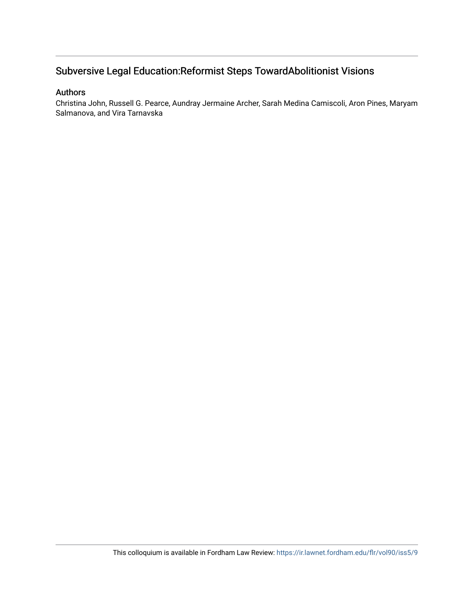# Subversive Legal Education:Reformist Steps TowardAbolitionist Visions

# Authors

Christina John, Russell G. Pearce, Aundray Jermaine Archer, Sarah Medina Camiscoli, Aron Pines, Maryam Salmanova, and Vira Tarnavska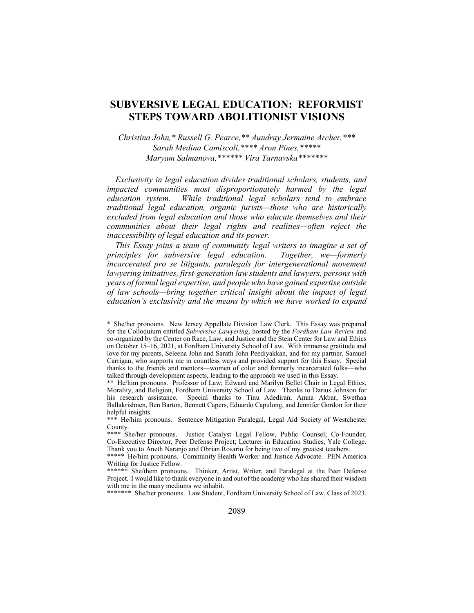# SUBVERSIVE LEGAL EDUCATION: REFORMIST STEPS TOWARD ABOLITIONIST VISIONS

Christina John,\* Russell G. Pearce,\*\* Aundray Jermaine Archer,\*\*\* Sarah Medina Camiscoli,\*\*\*\* Aron Pines,\*\*\*\*\* Maryam Salmanova,\*\*\*\*\*\* Vira Tarnavska\*\*\*\*\*\*\*

Exclusivity in legal education divides traditional scholars, students, and impacted communities most disproportionately harmed by the legal education system. While traditional legal scholars tend to embrace traditional legal education, organic jurists—those who are historically excluded from legal education and those who educate themselves and their communities about their legal rights and realities—often reject the inaccessibility of legal education and its power.

This Essay joins a team of community legal writers to imagine a set of principles for subversive legal education. Together, we—formerly incarcerated pro se litigants, paralegals for intergenerational movement lawyering initiatives, first-generation law students and lawyers, persons with years of formal legal expertise, and people who have gained expertise outside of law schools—bring together critical insight about the impact of legal education's exclusivity and the means by which we have worked to expand

\*\*\*\*\*\*\* She/her pronouns. Law Student, Fordham University School of Law, Class of 2023.

<sup>\*</sup> She/her pronouns. New Jersey Appellate Division Law Clerk. This Essay was prepared for the Colloquium entitled Subversive Lawyering, hosted by the Fordham Law Review and co-organized by the Center on Race, Law, and Justice and the Stein Center for Law and Ethics on October 15–16, 2021, at Fordham University School of Law. With immense gratitude and love for my parents, Seleena John and Sarath John Peediyakkan, and for my partner, Samuel Carrigan, who supports me in countless ways and provided support for this Essay. Special thanks to the friends and mentors—women of color and formerly incarcerated folks—who talked through development aspects, leading to the approach we used in this Essay.

<sup>\*\*</sup> He/him pronouns. Professor of Law; Edward and Marilyn Bellet Chair in Legal Ethics, Morality, and Religion, Fordham University School of Law. Thanks to Darius Johnson for his research assistance. Special thanks to Tinu Adediran, Amna Akbar, Swethaa Ballakrishnen, Ben Barton, Bennett Capers, Eduardo Capulong, and Jennifer Gordon for their helpful insights.

<sup>\*\*\*</sup> He/him pronouns. Sentence Mitigation Paralegal, Legal Aid Society of Westchester County.

<sup>\*\*\*\*</sup> She/her pronouns. Justice Catalyst Legal Fellow, Public Counsel; Co-Founder, Co-Executive Director, Peer Defense Project; Lecturer in Education Studies, Yale College. Thank you to Aneth Naranjo and Obrian Rosario for being two of my greatest teachers.

<sup>\*\*\*\*\*</sup> He/him pronouns. Community Health Worker and Justice Advocate. PEN America Writing for Justice Fellow.

<sup>\*\*\*\*\*\*</sup> She/them pronouns. Thinker, Artist, Writer, and Paralegal at the Peer Defense Project. I would like to thank everyone in and out of the academy who has shared their wisdom with me in the many mediums we inhabit.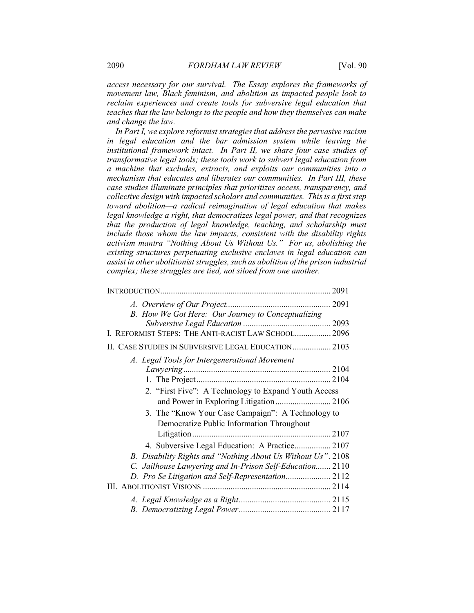access necessary for our survival. The Essay explores the frameworks of movement law, Black feminism, and abolition as impacted people look to reclaim experiences and create tools for subversive legal education that teaches that the law belongs to the people and how they themselves can make and change the law.

In Part I, we explore reformist strategies that address the pervasive racism in legal education and the bar admission system while leaving the institutional framework intact. In Part II, we share four case studies of transformative legal tools; these tools work to subvert legal education from a machine that excludes, extracts, and exploits our communities into a mechanism that educates and liberates our communities. In Part III, these case studies illuminate principles that prioritizes access, transparency, and collective design with impacted scholars and communities. This is a first step toward abolition—a radical reimagination of legal education that makes legal knowledge a right, that democratizes legal power, and that recognizes that the production of legal knowledge, teaching, and scholarship must include those whom the law impacts, consistent with the disability rights activism mantra "Nothing About Us Without Us." For us, abolishing the existing structures perpetuating exclusive enclaves in legal education can assist in other abolitionist struggles, such as abolition of the prison industrial complex; these struggles are tied, not siloed from one another.

| B. How We Got Here: Our Journey to Conceptualizing           |  |
|--------------------------------------------------------------|--|
|                                                              |  |
| I. REFORMIST STEPS: THE ANTI-RACIST LAW SCHOOL 2096          |  |
| II. CASE STUDIES IN SUBVERSIVE LEGAL EDUCATION 2103          |  |
| A. Legal Tools for Intergenerational Movement                |  |
|                                                              |  |
|                                                              |  |
| 2. "First Five": A Technology to Expand Youth Access         |  |
|                                                              |  |
| 3. The "Know Your Case Campaign": A Technology to            |  |
| Democratize Public Information Throughout                    |  |
|                                                              |  |
| 4. Subversive Legal Education: A Practice 2107               |  |
| B. Disability Rights and "Nothing About Us Without Us". 2108 |  |
| C. Jailhouse Lawyering and In-Prison Self-Education 2110     |  |
|                                                              |  |
|                                                              |  |
|                                                              |  |
|                                                              |  |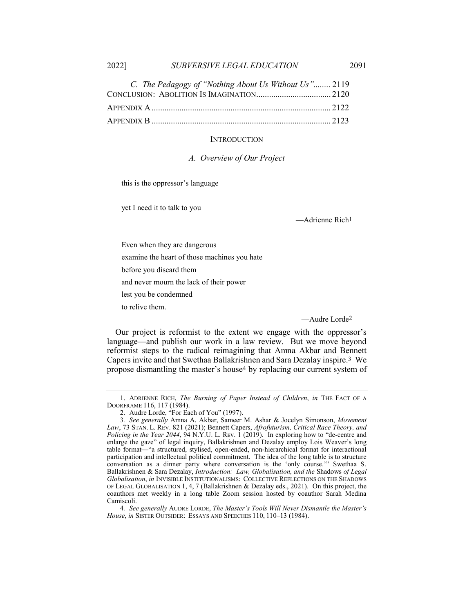| C. The Pedagogy of "Nothing About Us Without Us" 2119 |  |
|-------------------------------------------------------|--|
|                                                       |  |
|                                                       |  |
|                                                       |  |

### **INTRODUCTION**

A. Overview of Our Project

this is the oppressor's language

yet I need it to talk to you

—Adrienne Rich1

Even when they are dangerous

examine the heart of those machines you hate

before you discard them

and never mourn the lack of their power

lest you be condemned

to relive them.

—Audre Lorde2

Our project is reformist to the extent we engage with the oppressor's language—and publish our work in a law review. But we move beyond reformist steps to the radical reimagining that Amna Akbar and Bennett Capers invite and that Swethaa Ballakrishnen and Sara Dezalay inspire.3 We propose dismantling the master's house4 by replacing our current system of

 <sup>1.</sup> ADRIENNE RICH, The Burning of Paper Instead of Children, in THE FACT OF A DOORFRAME 116, 117 (1984).

 <sup>2.</sup> Audre Lorde, "For Each of You" (1997).

<sup>3.</sup> See generally Amna A. Akbar, Sameer M. Ashar & Jocelyn Simonson, Movement Law, 73 STAN. L. REV. 821 (2021); Bennett Capers, Afrofuturism, Critical Race Theory, and Policing in the Year 2044, 94 N.Y.U. L. REV. 1 (2019). In exploring how to "de-centre and enlarge the gaze" of legal inquiry, Ballakrishnen and Dezalay employ Lois Weaver's long table format—"a structured, stylised, open-ended, non-hierarchical format for interactional participation and intellectual political commitment. The idea of the long table is to structure conversation as a dinner party where conversation is the 'only course.'" Swethaa S. Ballakrishnen & Sara Dezalay, Introduction: Law, Globalisation, and the Shadows of Legal Globalisation, in INVISIBLE INSTITUTIONALISMS: COLLECTIVE REFLECTIONS ON THE SHADOWS OF LEGAL GLOBALISATION 1, 4, 7 (Ballakrishnen & Dezalay eds., 2021). On this project, the coauthors met weekly in a long table Zoom session hosted by coauthor Sarah Medina Camiscoli.

<sup>4</sup>. See generally AUDRE LORDE, The Master's Tools Will Never Dismantle the Master's House, in SISTER OUTSIDER: ESSAYS AND SPEECHES 110, 110–13 (1984).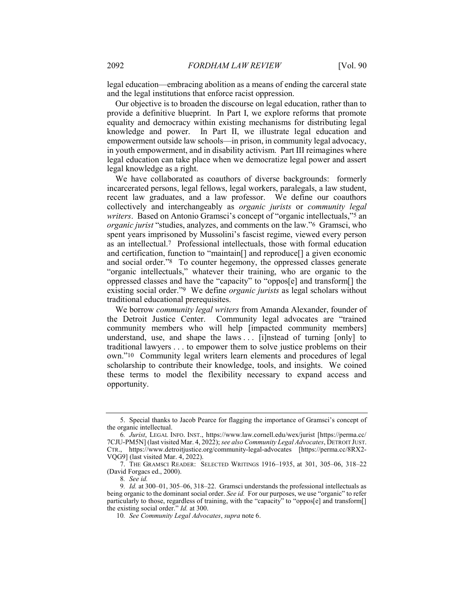legal education—embracing abolition as a means of ending the carceral state and the legal institutions that enforce racist oppression.

Our objective is to broaden the discourse on legal education, rather than to provide a definitive blueprint. In Part I, we explore reforms that promote equality and democracy within existing mechanisms for distributing legal knowledge and power. In Part II, we illustrate legal education and empowerment outside law schools—in prison, in community legal advocacy, in youth empowerment, and in disability activism. Part III reimagines where legal education can take place when we democratize legal power and assert legal knowledge as a right.

We have collaborated as coauthors of diverse backgrounds: formerly incarcerated persons, legal fellows, legal workers, paralegals, a law student, recent law graduates, and a law professor. We define our coauthors collectively and interchangeably as organic jurists or community legal writers. Based on Antonio Gramsci's concept of "organic intellectuals,"<sup>5</sup> an organic jurist "studies, analyzes, and comments on the law."6 Gramsci, who spent years imprisoned by Mussolini's fascist regime, viewed every person as an intellectual.7 Professional intellectuals, those with formal education and certification, function to "maintain[] and reproduce[] a given economic and social order."8 To counter hegemony, the oppressed classes generate "organic intellectuals," whatever their training, who are organic to the oppressed classes and have the "capacity" to "oppos[e] and transform[] the existing social order."<sup>9</sup> We define *organic jurists* as legal scholars without traditional educational prerequisites.

We borrow *community legal writers* from Amanda Alexander, founder of the Detroit Justice Center. Community legal advocates are "trained community members who will help [impacted community members] understand, use, and shape the laws  $\ldots$  [i]nstead of turning [only] to traditional lawyers . . . to empower them to solve justice problems on their own."10 Community legal writers learn elements and procedures of legal scholarship to contribute their knowledge, tools, and insights. We coined these terms to model the flexibility necessary to expand access and opportunity.

 <sup>5.</sup> Special thanks to Jacob Pearce for flagging the importance of Gramsci's concept of the organic intellectual.

<sup>6</sup>. Jurist, LEGAL INFO. INST., https://www.law.cornell.edu/wex/jurist [https://perma.cc/ 7CJU-PM5N] (last visited Mar. 4, 2022); see also Community Legal Advocates, DETROIT JUST. CTR., https://www.detroitjustice.org/community-legal-advocates [https://perma.cc/8RX2- VQG9] (last visited Mar. 4, 2022).

 <sup>7.</sup> THE GRAMSCI READER: SELECTED WRITINGS 1916–1935, at 301, 305–06, 318–22 (David Forgacs ed., 2000).

<sup>8</sup>. See id.

<sup>9.</sup> Id. at 300–01, 305–06, 318–22. Gramsci understands the professional intellectuals as being organic to the dominant social order. See id. For our purposes, we use "organic" to refer particularly to those, regardless of training, with the "capacity" to "oppos[e] and transform[] the existing social order." Id. at 300.

<sup>10</sup>. See Community Legal Advocates, supra note 6.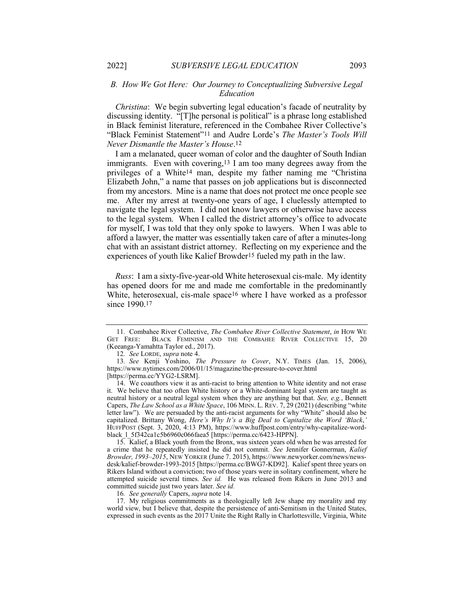# B. How We Got Here: Our Journey to Conceptualizing Subversive Legal Education

Christina: We begin subverting legal education's facade of neutrality by discussing identity. "[T]he personal is political" is a phrase long established in Black feminist literature, referenced in the Combahee River Collective's "Black Feminist Statement"11 and Audre Lorde's The Master's Tools Will Never Dismantle the Master's House.12

I am a melanated, queer woman of color and the daughter of South Indian immigrants. Even with covering,13 I am too many degrees away from the privileges of a White14 man, despite my father naming me "Christina Elizabeth John," a name that passes on job applications but is disconnected from my ancestors. Mine is a name that does not protect me once people see me. After my arrest at twenty-one years of age, I cluelessly attempted to navigate the legal system. I did not know lawyers or otherwise have access to the legal system. When I called the district attorney's office to advocate for myself, I was told that they only spoke to lawyers. When I was able to afford a lawyer, the matter was essentially taken care of after a minutes-long chat with an assistant district attorney. Reflecting on my experience and the experiences of youth like Kalief Browder15 fueled my path in the law.

Russ: I am a sixty-five-year-old White heterosexual cis-male. My identity has opened doors for me and made me comfortable in the predominantly White, heterosexual, cis-male space<sup>16</sup> where I have worked as a professor since 1990.17

 15. Kalief, a Black youth from the Bronx, was sixteen years old when he was arrested for a crime that he repeatedly insisted he did not commit. See Jennifer Gonnerman, Kalief Browder, 1993–2015, NEW YORKER (June 7. 2015), https://www.newyorker.com/news/newsdesk/kalief-browder-1993-2015 [https://perma.cc/BWG7-KD92]. Kalief spent three years on Rikers Island without a conviction; two of those years were in solitary confinement, where he attempted suicide several times. See id. He was released from Rikers in June 2013 and committed suicide just two years later. See id.

16. See generally Capers, supra note 14.

 17. My religious commitments as a theologically left Jew shape my morality and my world view, but I believe that, despite the persistence of anti-Semitism in the United States, expressed in such events as the 2017 Unite the Right Rally in Charlottesville, Virginia, White

<sup>11</sup>. Combahee River Collective, The Combahee River Collective Statement, in HOW WE GET FREE: BLACK FEMINISM AND THE COMBAHEE RIVER COLLECTIVE 15, 20 (Keeanga-Yamahtta Taylor ed., 2017).

<sup>12</sup>. See LORDE, supra note 4.

<sup>13</sup>. See Kenji Yoshino, The Pressure to Cover, N.Y. TIMES (Jan. 15, 2006), https://www.nytimes.com/2006/01/15/magazine/the-pressure-to-cover.html [https://perma.cc/YYG2-LSRM].

 <sup>14.</sup> We coauthors view it as anti-racist to bring attention to White identity and not erase it. We believe that too often White history or a White-dominant legal system are taught as neutral history or a neutral legal system when they are anything but that. See, e.g., Bennett Capers, The Law School as a White Space, 106 MINN. L. REV. 7, 29 (2021) (describing "white letter law"). We are persuaded by the anti-racist arguments for why "White" should also be capitalized. Brittany Wong, Here's Why It's a Big Deal to Capitalize the Word 'Black, HUFFPOST (Sept. 3, 2020, 4:13 PM), https://www.huffpost.com/entry/why-capitalize-wordblack\_l\_5f342ca1c5b6960c066faea5 [https://perma.cc/6423-HPPN].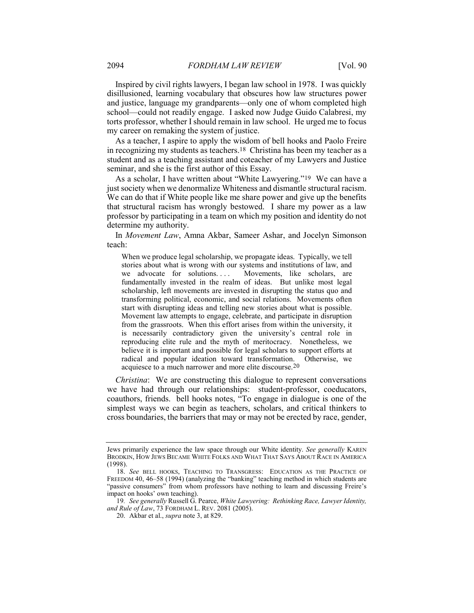Inspired by civil rights lawyers, I began law school in 1978. I was quickly disillusioned, learning vocabulary that obscures how law structures power and justice, language my grandparents—only one of whom completed high school—could not readily engage. I asked now Judge Guido Calabresi, my torts professor, whether I should remain in law school. He urged me to focus my career on remaking the system of justice.

As a teacher, I aspire to apply the wisdom of bell hooks and Paolo Freire in recognizing my students as teachers.18 Christina has been my teacher as a student and as a teaching assistant and coteacher of my Lawyers and Justice seminar, and she is the first author of this Essay.

As a scholar, I have written about "White Lawyering."19 We can have a just society when we denormalize Whiteness and dismantle structural racism. We can do that if White people like me share power and give up the benefits that structural racism has wrongly bestowed. I share my power as a law professor by participating in a team on which my position and identity do not determine my authority.

In Movement Law, Amna Akbar, Sameer Ashar, and Jocelyn Simonson teach:

When we produce legal scholarship, we propagate ideas. Typically, we tell stories about what is wrong with our systems and institutions of law, and we advocate for solutions.... Movements, like scholars, are fundamentally invested in the realm of ideas. But unlike most legal scholarship, left movements are invested in disrupting the status quo and transforming political, economic, and social relations. Movements often start with disrupting ideas and telling new stories about what is possible. Movement law attempts to engage, celebrate, and participate in disruption from the grassroots. When this effort arises from within the university, it is necessarily contradictory given the university's central role in reproducing elite rule and the myth of meritocracy. Nonetheless, we believe it is important and possible for legal scholars to support efforts at radical and popular ideation toward transformation. Otherwise, we acquiesce to a much narrower and more elite discourse.20

Christina: We are constructing this dialogue to represent conversations we have had through our relationships: student-professor, coeducators, coauthors, friends. bell hooks notes, "To engage in dialogue is one of the simplest ways we can begin as teachers, scholars, and critical thinkers to cross boundaries, the barriers that may or may not be erected by race, gender,

Jews primarily experience the law space through our White identity. See generally KAREN BRODKIN, HOW JEWS BECAME WHITE FOLKS AND WHAT THAT SAYS ABOUT RACE IN AMERICA (1998).

 <sup>18.</sup> See BELL HOOKS, TEACHING TO TRANSGRESS: EDUCATION AS THE PRACTICE OF FREEDOM 40, 46–58 (1994) (analyzing the "banking" teaching method in which students are "passive consumers" from whom professors have nothing to learn and discussing Freire's impact on hooks' own teaching).

<sup>19</sup>. See generally Russell G. Pearce, White Lawyering: Rethinking Race, Lawyer Identity, and Rule of Law, 73 FORDHAM L. REV. 2081 (2005).

 <sup>20.</sup> Akbar et al., supra note 3, at 829.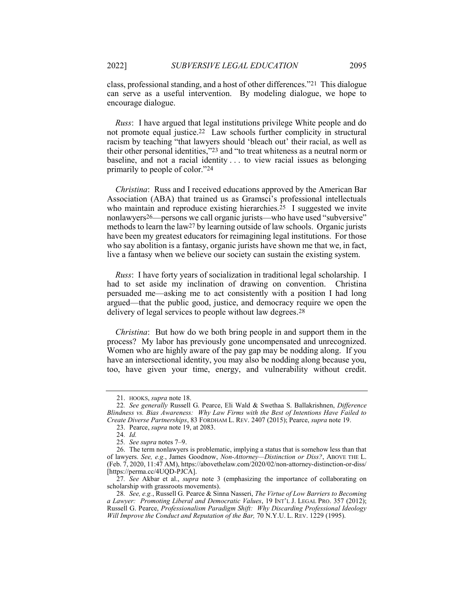class, professional standing, and a host of other differences."21 This dialogue can serve as a useful intervention. By modeling dialogue, we hope to encourage dialogue.

Russ: I have argued that legal institutions privilege White people and do not promote equal justice.22 Law schools further complicity in structural racism by teaching "that lawyers should 'bleach out' their racial, as well as their other personal identities,"23 and "to treat whiteness as a neutral norm or baseline, and not a racial identity . . . to view racial issues as belonging primarily to people of color."24

Christina: Russ and I received educations approved by the American Bar Association (ABA) that trained us as Gramsci's professional intellectuals who maintain and reproduce existing hierarchies.<sup>25</sup> I suggested we invite nonlawyers26—persons we call organic jurists—who have used "subversive" methods to learn the law27 by learning outside of law schools. Organic jurists have been my greatest educators for reimagining legal institutions. For those who say abolition is a fantasy, organic jurists have shown me that we, in fact, live a fantasy when we believe our society can sustain the existing system.

Russ: I have forty years of socialization in traditional legal scholarship. I had to set aside my inclination of drawing on convention. Christina persuaded me—asking me to act consistently with a position I had long argued—that the public good, justice, and democracy require we open the delivery of legal services to people without law degrees.28

Christina: But how do we both bring people in and support them in the process? My labor has previously gone uncompensated and unrecognized. Women who are highly aware of the pay gap may be nodding along. If you have an intersectional identity, you may also be nodding along because you, too, have given your time, energy, and vulnerability without credit.

 <sup>21.</sup> HOOKS, supra note 18.

<sup>22</sup>. See generally Russell G. Pearce, Eli Wald & Swethaa S. Ballakrishnen, Difference Blindness vs. Bias Awareness: Why Law Firms with the Best of Intentions Have Failed to Create Diverse Partnerships, 83 FORDHAM L. REV. 2407 (2015); Pearce, supra note 19.

 <sup>23.</sup> Pearce, supra note 19, at 2083.

<sup>24</sup>. Id.

<sup>25</sup>. See supra notes 7–9.

 <sup>26.</sup> The term nonlawyers is problematic, implying a status that is somehow less than that of lawyers. See, e.g., James Goodnow, Non-Attorney—Distinction or Diss?, ABOVE THE L. (Feb. 7, 2020, 11:47 AM), https://abovethelaw.com/2020/02/non-attorney-distinction-or-diss/ [https://perma.cc/4UQD-PJCA].

<sup>27.</sup> See Akbar et al., *supra* note 3 (emphasizing the importance of collaborating on scholarship with grassroots movements).

<sup>28.</sup> See, e.g., Russell G. Pearce & Sinna Nasseri, The Virtue of Low Barriers to Becoming a Lawyer: Promoting Liberal and Democratic Values, 19 INT'L J. LEGAL PRO. 357 (2012); Russell G. Pearce, Professionalism Paradigm Shift: Why Discarding Professional Ideology Will Improve the Conduct and Reputation of the Bar, 70 N.Y.U. L. REV. 1229 (1995).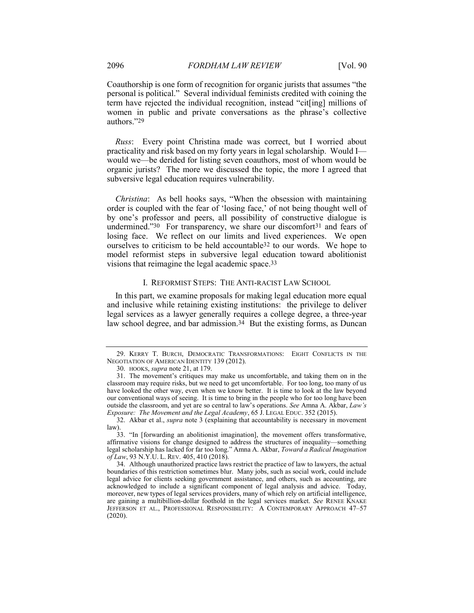Coauthorship is one form of recognition for organic jurists that assumes "the personal is political." Several individual feminists credited with coining the term have rejected the individual recognition, instead "cit[ing] millions of women in public and private conversations as the phrase's collective authors."29

Russ: Every point Christina made was correct, but I worried about practicality and risk based on my forty years in legal scholarship. Would I would we—be derided for listing seven coauthors, most of whom would be organic jurists? The more we discussed the topic, the more I agreed that subversive legal education requires vulnerability.

Christina: As bell hooks says, "When the obsession with maintaining order is coupled with the fear of 'losing face,' of not being thought well of by one's professor and peers, all possibility of constructive dialogue is undermined."30 For transparency, we share our discomfort<sup>31</sup> and fears of losing face. We reflect on our limits and lived experiences. We open ourselves to criticism to be held accountable32 to our words. We hope to model reformist steps in subversive legal education toward abolitionist visions that reimagine the legal academic space.33

## I. REFORMIST STEPS: THE ANTI-RACIST LAW SCHOOL

In this part, we examine proposals for making legal education more equal and inclusive while retaining existing institutions: the privilege to deliver legal services as a lawyer generally requires a college degree, a three-year law school degree, and bar admission.<sup>34</sup> But the existing forms, as Duncan

 <sup>29.</sup> KERRY T. BURCH, DEMOCRATIC TRANSFORMATIONS: EIGHT CONFLICTS IN THE NEGOTIATION OF AMERICAN IDENTITY 139 (2012).

 <sup>30.</sup> HOOKS, supra note 21, at 179.

 <sup>31.</sup> The movement's critiques may make us uncomfortable, and taking them on in the classroom may require risks, but we need to get uncomfortable. For too long, too many of us have looked the other way, even when we know better. It is time to look at the law beyond our conventional ways of seeing. It is time to bring in the people who for too long have been outside the classroom, and yet are so central to law's operations. See Amna A. Akbar, Law's Exposure: The Movement and the Legal Academy, 65 J. LEGAL EDUC. 352 (2015).

 <sup>32.</sup> Akbar et al., supra note 3 (explaining that accountability is necessary in movement law).

 <sup>33. &</sup>quot;In [forwarding an abolitionist imagination], the movement offers transformative, affirmative visions for change designed to address the structures of inequality—something legal scholarship has lacked for far too long." Amna A. Akbar, Toward a Radical Imagination of Law, 93 N.Y.U. L. REV. 405, 410 (2018).

 <sup>34.</sup> Although unauthorized practice laws restrict the practice of law to lawyers, the actual boundaries of this restriction sometimes blur. Many jobs, such as social work, could include legal advice for clients seeking government assistance, and others, such as accounting, are acknowledged to include a significant component of legal analysis and advice. Today, moreover, new types of legal services providers, many of which rely on artificial intelligence, are gaining a multibillion-dollar foothold in the legal services market. See RENEE KNAKE JEFFERSON ET AL., PROFESSIONAL RESPONSIBILITY: A CONTEMPORARY APPROACH 47–57 (2020).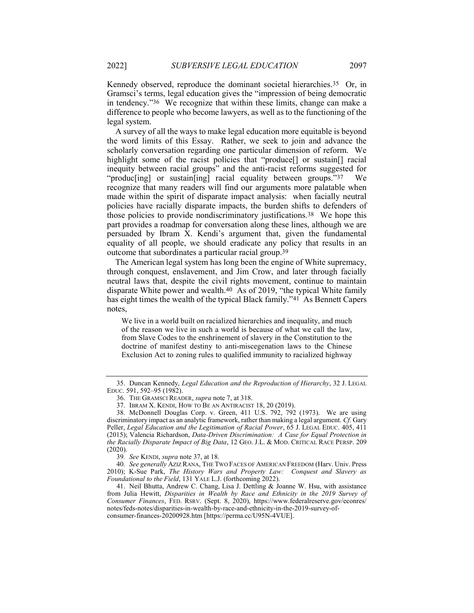Kennedy observed, reproduce the dominant societal hierarchies.35 Or, in Gramsci's terms, legal education gives the "impression of being democratic in tendency."36 We recognize that within these limits, change can make a difference to people who become lawyers, as well as to the functioning of the legal system.

A survey of all the ways to make legal education more equitable is beyond the word limits of this Essay. Rather, we seek to join and advance the scholarly conversation regarding one particular dimension of reform. We highlight some of the racist policies that "produce<sup>[]</sup> or sustain<sup>[]</sup> racial inequity between racial groups" and the anti-racist reforms suggested for "produc[ing] or sustain[ing] racial equality between groups."37 We recognize that many readers will find our arguments more palatable when made within the spirit of disparate impact analysis: when facially neutral policies have racially disparate impacts, the burden shifts to defenders of those policies to provide nondiscriminatory justifications.38 We hope this part provides a roadmap for conversation along these lines, although we are persuaded by Ibram X. Kendi's argument that, given the fundamental equality of all people, we should eradicate any policy that results in an outcome that subordinates a particular racial group.39

The American legal system has long been the engine of White supremacy, through conquest, enslavement, and Jim Crow, and later through facially neutral laws that, despite the civil rights movement, continue to maintain disparate White power and wealth.40 As of 2019, "the typical White family has eight times the wealth of the typical Black family."41 As Bennett Capers notes,

We live in a world built on racialized hierarchies and inequality, and much of the reason we live in such a world is because of what we call the law, from Slave Codes to the enshrinement of slavery in the Constitution to the doctrine of manifest destiny to anti-miscegenation laws to the Chinese Exclusion Act to zoning rules to qualified immunity to racialized highway

 <sup>35.</sup> Duncan Kennedy, Legal Education and the Reproduction of Hierarchy, 32 J. LEGAL EDUC. 591, 592–95 (1982).

 <sup>36.</sup> THE GRAMSCI READER, supra note 7, at 318.

 <sup>37.</sup> IBRAM X. KENDI, HOW TO BE AN ANTIRACIST 18, 20 (2019).

 <sup>38.</sup> McDonnell Douglas Corp. v. Green, 411 U.S. 792, 792 (1973). We are using discriminatory impact as an analytic framework, rather than making a legal argument. Cf. Gary Peller, Legal Education and the Legitimation of Racial Power, 65 J. LEGAL EDUC. 405, 411 (2015); Valencia Richardson, Data-Driven Discrimination: A Case for Equal Protection in the Racially Disparate Impact of Big Data, 12 GEO. J.L. & MOD. CRITICAL RACE PERSP. 209 (2020).

<sup>39</sup>. See KENDI, supra note 37, at 18.

<sup>40.</sup> See generally AZIZ RANA, THE TWO FACES OF AMERICAN FREEDOM (Harv. Univ. Press 2010); K-Sue Park, The History Wars and Property Law: Conquest and Slavery as Foundational to the Field, 131 YALE L.J. (forthcoming 2022).

 <sup>41.</sup> Neil Bhutta, Andrew C. Chang, Lisa J. Dettling & Joanne W. Hsu, with assistance from Julia Hewitt, Disparities in Wealth by Race and Ethnicity in the 2019 Survey of Consumer Finances, FED. RSRV. (Sept. 8, 2020), https://www.federalreserve.gov/econres/ notes/feds-notes/disparities-in-wealth-by-race-and-ethnicity-in-the-2019-survey-ofconsumer-finances-20200928.htm [https://perma.cc/U95N-4VUE].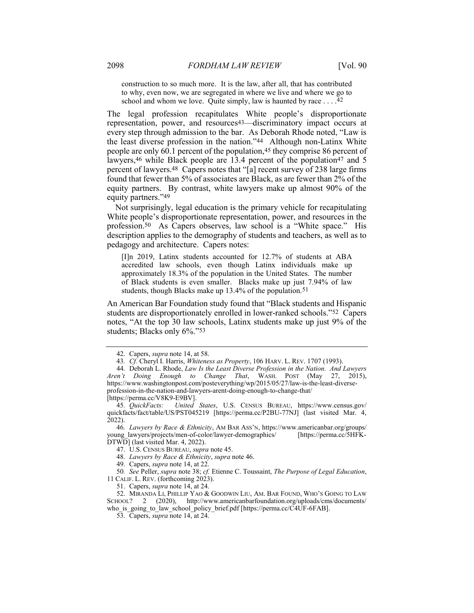construction to so much more. It is the law, after all, that has contributed to why, even now, we are segregated in where we live and where we go to school and whom we love. Quite simply, law is haunted by race  $\dots$ .<sup>42</sup>

The legal profession recapitulates White people's disproportionate representation, power, and resources43—discriminatory impact occurs at every step through admission to the bar. As Deborah Rhode noted, "Law is the least diverse profession in the nation."44 Although non-Latinx White people are only 60.1 percent of the population,45 they comprise 86 percent of lawyers,<sup>46</sup> while Black people are 13.4 percent of the population<sup>47</sup> and 5 percent of lawyers.48 Capers notes that "[a] recent survey of 238 large firms found that fewer than 5% of associates are Black, as are fewer than 2% of the equity partners. By contrast, white lawyers make up almost 90% of the equity partners."49

Not surprisingly, legal education is the primary vehicle for recapitulating White people's disproportionate representation, power, and resources in the profession.50 As Capers observes, law school is a "White space." His description applies to the demography of students and teachers, as well as to pedagogy and architecture. Capers notes:

[I]n 2019, Latinx students accounted for 12.7% of students at ABA accredited law schools, even though Latinx individuals make up approximately 18.3% of the population in the United States. The number of Black students is even smaller. Blacks make up just 7.94% of law students, though Blacks make up 13.4% of the population.<sup>51</sup>

An American Bar Foundation study found that "Black students and Hispanic students are disproportionately enrolled in lower-ranked schools."52 Capers notes, "At the top 30 law schools, Latinx students make up just 9% of the students; Blacks only 6%."53

47. U.S. CENSUS BUREAU, supra note 45.

48. Lawyers by Race & Ethnicity, supra note 46.

49. Capers, supra note 14, at 22.

50. See Peller, supra note 38; cf. Etienne C. Toussaint, The Purpose of Legal Education, 11 CALIF. L. REV. (forthcoming 2023).

51. Capers, supra note 14, at 24.

 52. MIRANDA LI, PHILLIP YAO & GOODWIN LIU, AM. BAR FOUND, WHO'S GOING TO LAW SCHOOL? 2 (2020), http://www.americanbarfoundation.org/uploads/cms/documents/

who is going to law school policy brief.pdf [https://perma.cc/C4UF-6FAB].

53. Capers, supra note 14, at 24.

 <sup>42.</sup> Capers, supra note 14, at 58.

<sup>43.</sup> Cf. Cheryl I. Harris, Whiteness as Property, 106 HARV. L. REV. 1707 (1993).

 <sup>44.</sup> Deborah L. Rhode, Law Is the Least Diverse Profession in the Nation. And Lawyers Aren't Doing Enough to Change That, WASH. POST (May 27, 2015), https://www.washingtonpost.com/posteverything/wp/2015/05/27/law-is-the-least-diverseprofession-in-the-nation-and-lawyers-arent-doing-enough-to-change-that/ [https://perma.cc/V8K9-E9BV].

<sup>45</sup>. QuickFacts: United States, U.S. CENSUS BUREAU, https://www.census.gov/ quickfacts/fact/table/US/PST045219 [https://perma.cc/P2BU-77NJ] (last visited Mar. 4, 2022).

<sup>46</sup>. Lawyers by Race & Ethnicity, AM BAR ASS'N, https://www.americanbar.org/groups/ young\_lawyers/projects/men-of-color/lawyer-demographics/ [https://perma.cc/5HFK-DTWD] (last visited Mar. 4, 2022).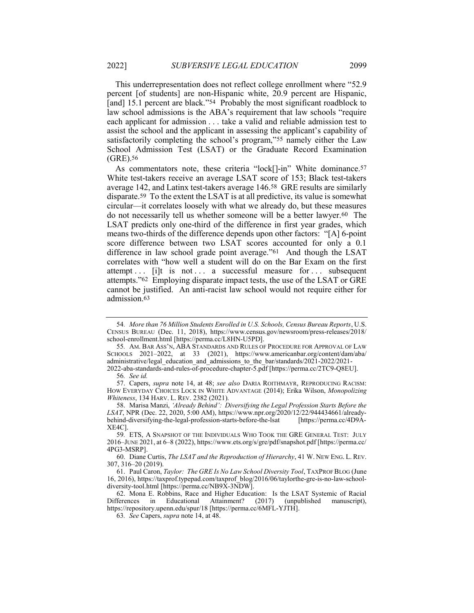This underrepresentation does not reflect college enrollment where "52.9 percent [of students] are non-Hispanic white, 20.9 percent are Hispanic, [and] 15.1 percent are black."<sup>54</sup> Probably the most significant roadblock to law school admissions is the ABA's requirement that law schools "require each applicant for admission . . . take a valid and reliable admission test to assist the school and the applicant in assessing the applicant's capability of satisfactorily completing the school's program,"55 namely either the Law School Admission Test (LSAT) or the Graduate Record Examination (GRE).56

As commentators note, these criteria "lock[]-in" White dominance.<sup>57</sup> White test-takers receive an average LSAT score of 153; Black test-takers average 142, and Latinx test-takers average 146.58 GRE results are similarly disparate.59 To the extent the LSAT is at all predictive, its value is somewhat circular—it correlates loosely with what we already do, but these measures do not necessarily tell us whether someone will be a better lawyer.60 The LSAT predicts only one-third of the difference in first year grades, which means two-thirds of the difference depends upon other factors: "[A] 6-point score difference between two LSAT scores accounted for only a 0.1 difference in law school grade point average."61 And though the LSAT correlates with "how well a student will do on the Bar Exam on the first attempt  $\ldots$  if it is not  $\ldots$  a successful measure for  $\ldots$  subsequent attempts."62 Employing disparate impact tests, the use of the LSAT or GRE cannot be justified. An anti-racist law school would not require either for admission.63

 60. Diane Curtis, The LSAT and the Reproduction of Hierarchy, 41 W. NEW ENG. L. REV. 307, 316–20 (2019).

 61. Paul Caron, Taylor: The GRE Is No Law School Diversity Tool, TAXPROF BLOG (June 16, 2016), https://taxprof.typepad.com/taxprof\_blog/2016/06/taylorthe-gre-is-no-law-schooldiversity-tool.html [https://perma.cc/NB9X-3NDW].

 62. Mona E. Robbins, Race and Higher Education: Is the LSAT Systemic of Racial Differences in Educational Attainment? (2017) (unpublished manuscript), https://repository.upenn.edu/spur/18 [https://perma.cc/6MFL-YJTH].

63. See Capers, supra note 14, at 48.

<sup>54</sup>. More than 76 Million Students Enrolled in U.S. Schools, Census Bureau Reports, U.S. CENSUS BUREAU (Dec. 11, 2018), https://www.census.gov/newsroom/press-releases/2018/ school-enrollment.html [https://perma.cc/L8HN-U5PD].

<sup>55</sup>. AM. BAR ASS'N, ABA STANDARDS AND RULES OF PROCEDURE FOR APPROVAL OF LAW SCHOOLS 2021–2022, at 33 (2021), https://www.americanbar.org/content/dam/aba/ administrative/legal\_education\_and\_admissions\_to\_the\_bar/standards/2021-2022/2021- 2022-aba-standards-and-rules-of-procedure-chapter-5.pdf [https://perma.cc/2TC9-Q8EU].

<sup>56</sup>. See id.

<sup>57.</sup> Capers, supra note 14, at 48; see also DARIA ROITHMAYR, REPRODUCING RACISM: HOW EVERYDAY CHOICES LOCK IN WHITE ADVANTAGE (2014); Erika Wilson, Monopolizing Whiteness, 134 HARV. L. REV. 2382 (2021).

 <sup>58.</sup> Marisa Manzi, 'Already Behind': Diversifying the Legal Profession Starts Before the LSAT, NPR (Dec. 22, 2020, 5:00 AM), https://www.npr.org/2020/12/22/944434661/alreadybehind-diversifying-the-legal-profession-starts-before-the-lsat [https://perma.cc/4D9A-XE4C].

<sup>59</sup>. ETS, A SNAPSHOT OF THE INDIVIDUALS WHO TOOK THE GRE GENERAL TEST: JULY 2016–JUNE 2021, at 6–8 (2022), https://www.ets.org/s/gre/pdf/snapshot.pdf [https://perma.cc/ 4PG3-MSRP].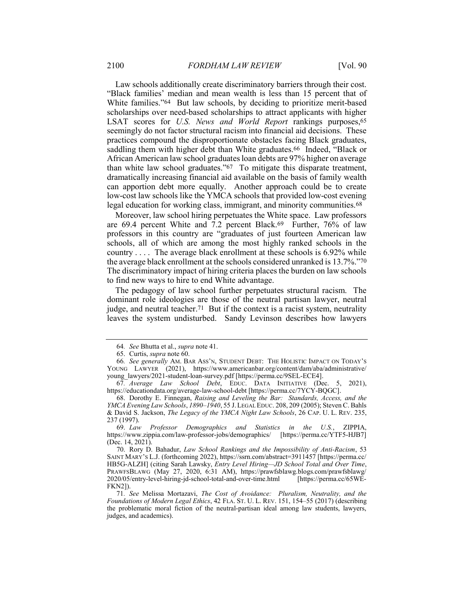Law schools additionally create discriminatory barriers through their cost. "Black families' median and mean wealth is less than 15 percent that of White families."64 But law schools, by deciding to prioritize merit-based scholarships over need-based scholarships to attract applicants with higher LSAT scores for U.S. News and World Report rankings purposes, 65 seemingly do not factor structural racism into financial aid decisions. These practices compound the disproportionate obstacles facing Black graduates, saddling them with higher debt than White graduates.<sup>66</sup> Indeed, "Black or African American law school graduates loan debts are 97% higher on average than white law school graduates."67 To mitigate this disparate treatment, dramatically increasing financial aid available on the basis of family wealth can apportion debt more equally. Another approach could be to create low-cost law schools like the YMCA schools that provided low-cost evening legal education for working class, immigrant, and minority communities.<sup>68</sup>

Moreover, law school hiring perpetuates the White space. Law professors are 69.4 percent White and 7.2 percent Black.69 Further, 76% of law professors in this country are "graduates of just fourteen American law schools, all of which are among the most highly ranked schools in the country . . . . The average black enrollment at these schools is 6.92% while the average black enrollment at the schools considered unranked is 13.7%."70 The discriminatory impact of hiring criteria places the burden on law schools to find new ways to hire to end White advantage.

The pedagogy of law school further perpetuates structural racism. The dominant role ideologies are those of the neutral partisan lawyer, neutral judge, and neutral teacher.71 But if the context is a racist system, neutrality leaves the system undisturbed. Sandy Levinson describes how lawyers

<sup>64</sup>. See Bhutta et al., supra note 41.

 <sup>65.</sup> Curtis, supra note 60.

<sup>66</sup>. See generally AM. BAR ASS'N, STUDENT DEBT: THE HOLISTIC IMPACT ON TODAY'S YOUNG LAWYER (2021), https://www.americanbar.org/content/dam/aba/administrative/ young\_lawyers/2021-student-loan-survey.pdf [https://perma.cc/9SEL-ECE4].

<sup>67</sup>. Average Law School Debt, EDUC. DATA INITIATIVE (Dec. 5, 2021), https://educationdata.org/average-law-school-debt [https://perma.cc/7YCY-BQGC].

 <sup>68.</sup> Dorothy E. Finnegan, Raising and Leveling the Bar: Standards, Access, and the YMCA Evening Law Schools, 1890–1940, 55 J.LEGAL EDUC. 208, 209 (2005); Steven C. Bahls & David S. Jackson, The Legacy of the YMCA Night Law Schools, 26 CAP. U. L. REV. 235, 237 (1997).

 <sup>69.</sup> Law Professor Demographics and Statistics in the U.S., ZIPPIA, https://www.zippia.com/law-professor-jobs/demographics/ [https://perma.cc/YTF5-HJB7] (Dec. 14, 2021).

 <sup>70.</sup> Rory D. Bahadur, Law School Rankings and the Impossibility of Anti-Racism, 53 SAINT MARY'S L.J. (forthcoming 2022), https://ssrn.com/abstract=3911457 [https://perma.cc/ HB5G-ALZH] (citing Sarah Lawsky, Entry Level Hiring-JD School Total and Over Time, PRAWFSBLAWG (May 27, 2020, 6:31 AM), https://prawfsblawg.blogs.com/prawfsblawg/ 2020/05/entry-level-hiring-jd-school-total-and-over-time.html [https://perma.cc/65WE-FKN2]).

<sup>71</sup>. See Melissa Mortazavi, The Cost of Avoidance: Pluralism, Neutrality, and the Foundations of Modern Legal Ethics, 42 FLA. ST. U. L. REV. 151, 154–55 (2017) (describing the problematic moral fiction of the neutral-partisan ideal among law students, lawyers, judges, and academics).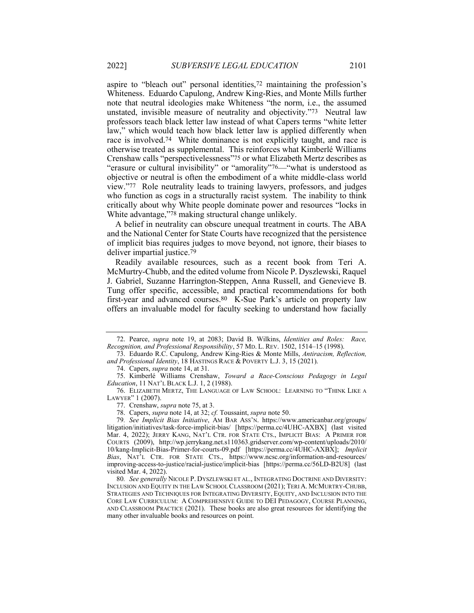aspire to "bleach out" personal identities,72 maintaining the profession's Whiteness. Eduardo Capulong, Andrew King-Ries, and Monte Mills further note that neutral ideologies make Whiteness "the norm, i.e., the assumed unstated, invisible measure of neutrality and objectivity."73 Neutral law professors teach black letter law instead of what Capers terms "white letter law," which would teach how black letter law is applied differently when race is involved.74 White dominance is not explicitly taught, and race is otherwise treated as supplemental. This reinforces what Kimberlé Williams Crenshaw calls "perspectivelessness"75 or what Elizabeth Mertz describes as "erasure or cultural invisibility" or "amorality"76—"what is understood as objective or neutral is often the embodiment of a white middle-class world view."77 Role neutrality leads to training lawyers, professors, and judges who function as cogs in a structurally racist system. The inability to think critically about why White people dominate power and resources "locks in White advantage,"78 making structural change unlikely.

A belief in neutrality can obscure unequal treatment in courts. The ABA and the National Center for State Courts have recognized that the persistence of implicit bias requires judges to move beyond, not ignore, their biases to deliver impartial justice.79

Readily available resources, such as a recent book from Teri A. McMurtry-Chubb, and the edited volume from Nicole P. Dyszlewski, Raquel J. Gabriel, Suzanne Harrington-Steppen, Anna Russell, and Genevieve B. Tung offer specific, accessible, and practical recommendations for both first-year and advanced courses.80 K-Sue Park's article on property law offers an invaluable model for faculty seeking to understand how facially

 <sup>72.</sup> Pearce, supra note 19, at 2083; David B. Wilkins, Identities and Roles: Race, Recognition, and Professional Responsibility, 57 MD. L. REV. 1502, 1514–15 (1998).

 <sup>73.</sup> Eduardo R.C. Capulong, Andrew King-Ries & Monte Mills, Antiracism, Reflection, and Professional Identity, 18 HASTINGS RACE & POVERTY L.J. 3, 15 (2021).

 <sup>74.</sup> Capers, supra note 14, at 31.

 <sup>75.</sup> Kimberlé Williams Crenshaw, Toward a Race-Conscious Pedagogy in Legal Education, 11 NAT'L BLACK L.J. 1, 2 (1988).

 <sup>76.</sup> ELIZABETH MERTZ, THE LANGUAGE OF LAW SCHOOL: LEARNING TO "THINK LIKE A LAWYER" 1 (2007).

 <sup>77.</sup> Crenshaw, supra note 75, at 3.

<sup>78.</sup> Capers, supra note 14, at 32; cf. Toussaint, supra note 50.

<sup>79</sup>. See Implicit Bias Initiative, AM BAR ASS'N. https://www.americanbar.org/groups/ litigation/initiatives/task-force-implicit-bias/ [https://perma.cc/4UHC-AXBX] (last visited Mar. 4, 2022); JERRY KANG, NAT'L CTR. FOR STATE CTS., IMPLICIT BIAS: A PRIMER FOR COURTS (2009), http://wp.jerrykang.net.s110363.gridserver.com/wp-content/uploads/2010/ 10/kang-Implicit-Bias-Primer-for-courts-09.pdf [https://perma.cc/4UHC-AXBX]; Implicit Bias, NAT'L CTR. FOR STATE CTS., https://www.ncsc.org/information-and-resources/ improving-access-to-justice/racial-justice/implicit-bias [https://perma.cc/56LD-B2U8] (last visited Mar. 4, 2022).

<sup>80</sup>. See generally NICOLE P. DYSZLEWSKI ET AL., INTEGRATING DOCTRINE AND DIVERSITY: INCLUSION AND EQUITY IN THE LAW SCHOOL CLASSROOM (2021); TERI A. MCMURTRY-CHUBB, STRATEGIES AND TECHNIQUES FOR INTEGRATING DIVERSITY, EQUITY, AND INCLUSION INTO THE CORE LAW CURRICULUM: A COMPREHENSIVE GUIDE TO DEI PEDAGOGY, COURSE PLANNING, AND CLASSROOM PRACTICE (2021). These books are also great resources for identifying the many other invaluable books and resources on point.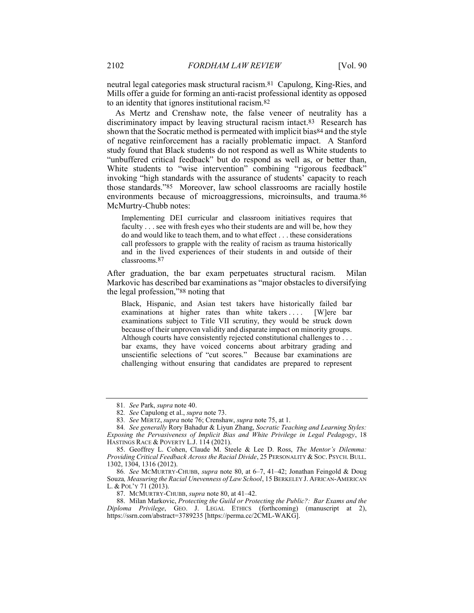neutral legal categories mask structural racism.81 Capulong, King-Ries, and Mills offer a guide for forming an anti-racist professional identity as opposed to an identity that ignores institutional racism.82

As Mertz and Crenshaw note, the false veneer of neutrality has a discriminatory impact by leaving structural racism intact.83 Research has shown that the Socratic method is permeated with implicit bias84 and the style of negative reinforcement has a racially problematic impact. A Stanford study found that Black students do not respond as well as White students to "unbuffered critical feedback" but do respond as well as, or better than, White students to "wise intervention" combining "rigorous feedback" invoking "high standards with the assurance of students' capacity to reach those standards."85 Moreover, law school classrooms are racially hostile environments because of microaggressions, microinsults, and trauma.<sup>86</sup> McMurtry-Chubb notes:

Implementing DEI curricular and classroom initiatives requires that faculty . . . see with fresh eyes who their students are and will be, how they do and would like to teach them, and to what effect . . . these considerations call professors to grapple with the reality of racism as trauma historically and in the lived experiences of their students in and outside of their classrooms.87

After graduation, the bar exam perpetuates structural racism. Milan Markovic has described bar examinations as "major obstacles to diversifying the legal profession,"88 noting that

Black, Hispanic, and Asian test takers have historically failed bar examinations at higher rates than white takers . . . . [W]ere bar examinations subject to Title VII scrutiny, they would be struck down because of their unproven validity and disparate impact on minority groups. Although courts have consistently rejected constitutional challenges to . . . bar exams, they have voiced concerns about arbitrary grading and unscientific selections of "cut scores." Because bar examinations are challenging without ensuring that candidates are prepared to represent

<sup>81</sup>. See Park, supra note 40.

<sup>82</sup>. See Capulong et al., supra note 73.

<sup>83</sup>. See MERTZ, supra note 76; Crenshaw, supra note 75, at 1.

<sup>84</sup>. See generally Rory Bahadur & Liyun Zhang, Socratic Teaching and Learning Styles: Exposing the Pervasiveness of Implicit Bias and White Privilege in Legal Pedagogy, 18 HASTINGS RACE & POVERTY L.J. 114 (2021).

 <sup>85.</sup> Geoffrey L. Cohen, Claude M. Steele & Lee D. Ross, The Mentor's Dilemma: Providing Critical Feedback Across the Racial Divide, 25 PERSONALITY & SOC. PSYCH. BULL. 1302, 1304, 1316 (2012).

<sup>86</sup>. See MCMURTRY-CHUBB, supra note 80, at 6–7, 41–42; Jonathan Feingold & Doug Souza, Measuring the Racial Unevenness of Law School, 15 BERKELEY J. AFRICAN-AMERICAN L. & POL'Y 71 (2013).

<sup>87.</sup> MCMURTRY-CHUBB, supra note 80, at 41-42.

<sup>88.</sup> Milan Markovic, Protecting the Guild or Protecting the Public?: Bar Exams and the Diploma Privilege, GEO. J. LEGAL ETHICS (forthcoming) (manuscript at 2), https://ssrn.com/abstract=3789235 [https://perma.cc/2CML-WAKG].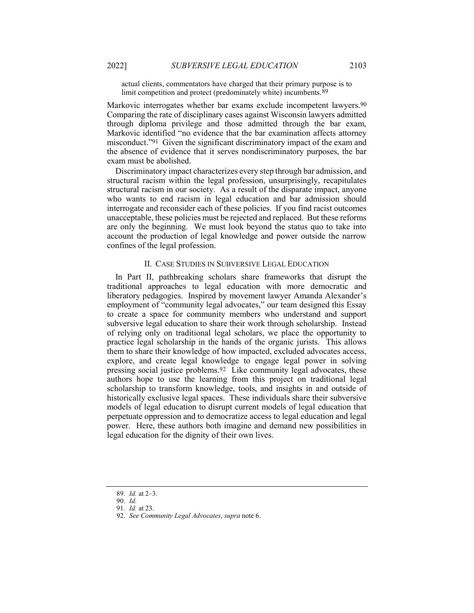actual clients, commentators have charged that their primary purpose is to limit competition and protect (predominately white) incumbents.89

Markovic interrogates whether bar exams exclude incompetent lawyers.<sup>90</sup> Comparing the rate of disciplinary cases against Wisconsin lawyers admitted through diploma privilege and those admitted through the bar exam, Markovic identified "no evidence that the bar examination affects attorney misconduct."91 Given the significant discriminatory impact of the exam and the absence of evidence that it serves nondiscriminatory purposes, the bar exam must be abolished.

Discriminatory impact characterizes every step through bar admission, and structural racism within the legal profession, unsurprisingly, recapitulates structural racism in our society. As a result of the disparate impact, anyone who wants to end racism in legal education and bar admission should interrogate and reconsider each of these policies. If you find racist outcomes unacceptable, these policies must be rejected and replaced. But these reforms are only the beginning. We must look beyond the status quo to take into account the production of legal knowledge and power outside the narrow confines of the legal profession.

# II. CASE STUDIES IN SUBVERSIVE LEGAL EDUCATION

In Part II, pathbreaking scholars share frameworks that disrupt the traditional approaches to legal education with more democratic and liberatory pedagogies. Inspired by movement lawyer Amanda Alexander's employment of "community legal advocates," our team designed this Essay to create a space for community members who understand and support subversive legal education to share their work through scholarship. Instead of relying only on traditional legal scholars, we place the opportunity to practice legal scholarship in the hands of the organic jurists. This allows them to share their knowledge of how impacted, excluded advocates access, explore, and create legal knowledge to engage legal power in solving pressing social justice problems.92 Like community legal advocates, these authors hope to use the learning from this project on traditional legal scholarship to transform knowledge, tools, and insights in and outside of historically exclusive legal spaces. These individuals share their subversive models of legal education to disrupt current models of legal education that perpetuate oppression and to democratize access to legal education and legal power. Here, these authors both imagine and demand new possibilities in legal education for the dignity of their own lives.

<sup>89</sup>. Id. at 2–3.

<sup>90</sup>. Id.

<sup>91</sup>. Id. at 23.

 <sup>92.</sup> See Community Legal Advocates, supra note 6.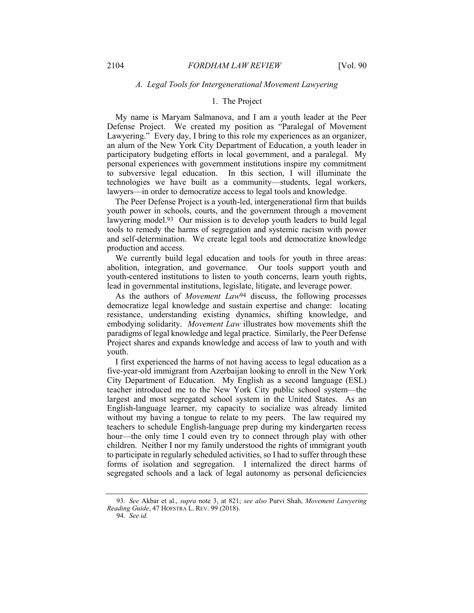## A. Legal Tools for Intergenerational Movement Lawyering

# 1. The Project

My name is Maryam Salmanova, and I am a youth leader at the Peer Defense Project. We created my position as "Paralegal of Movement Lawyering." Every day, I bring to this role my experiences as an organizer, an alum of the New York City Department of Education, a youth leader in participatory budgeting efforts in local government, and a paralegal. My personal experiences with government institutions inspire my commitment to subversive legal education. In this section, I will illuminate the technologies we have built as a community—students, legal workers, lawyers—in order to democratize access to legal tools and knowledge.

The Peer Defense Project is a youth-led, intergenerational firm that builds youth power in schools, courts, and the government through a movement lawyering model.<sup>93</sup> Our mission is to develop youth leaders to build legal tools to remedy the harms of segregation and systemic racism with power and self-determination. We create legal tools and democratize knowledge production and access.

We currently build legal education and tools for youth in three areas: abolition, integration, and governance. Our tools support youth and youth-centered institutions to listen to youth concerns, learn youth rights, lead in governmental institutions, legislate, litigate, and leverage power.

As the authors of *Movement Law*<sup>94</sup> discuss, the following processes democratize legal knowledge and sustain expertise and change: locating resistance, understanding existing dynamics, shifting knowledge, and embodying solidarity. Movement Law illustrates how movements shift the paradigms of legal knowledge and legal practice. Similarly, the Peer Defense Project shares and expands knowledge and access of law to youth and with youth.

I first experienced the harms of not having access to legal education as a five-year-old immigrant from Azerbaijan looking to enroll in the New York City Department of Education. My English as a second language (ESL) teacher introduced me to the New York City public school system—the largest and most segregated school system in the United States. As an English-language learner, my capacity to socialize was already limited without my having a tongue to relate to my peers. The law required my teachers to schedule English-language prep during my kindergarten recess hour—the only time I could even try to connect through play with other children. Neither I nor my family understood the rights of immigrant youth to participate in regularly scheduled activities, so I had to suffer through these forms of isolation and segregation. I internalized the direct harms of segregated schools and a lack of legal autonomy as personal deficiencies

94. See id.

<sup>93</sup>. See Akbar et al., supra note 3, at 821; see also Purvi Shah, Movement Lawyering Reading Guide, 47 HOFSTRA L. REV. 99 (2018).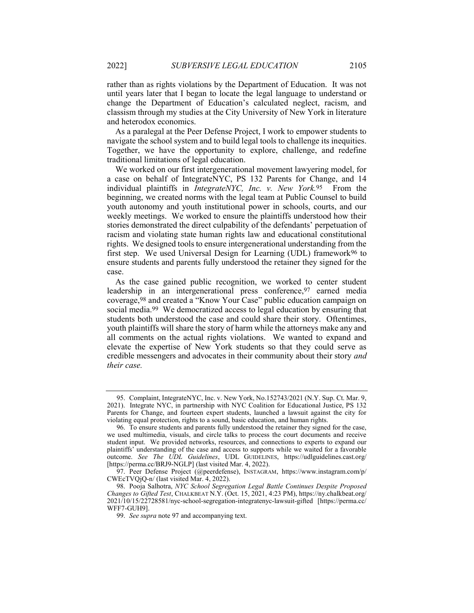rather than as rights violations by the Department of Education. It was not until years later that I began to locate the legal language to understand or change the Department of Education's calculated neglect, racism, and classism through my studies at the City University of New York in literature and heterodox economics.

As a paralegal at the Peer Defense Project, I work to empower students to navigate the school system and to build legal tools to challenge its inequities. Together, we have the opportunity to explore, challenge, and redefine traditional limitations of legal education.

We worked on our first intergenerational movement lawyering model, for a case on behalf of IntegrateNYC, PS 132 Parents for Change, and 14 individual plaintiffs in *IntegrateNYC*, Inc. v. New York.95 From the beginning, we created norms with the legal team at Public Counsel to build youth autonomy and youth institutional power in schools, courts, and our weekly meetings. We worked to ensure the plaintiffs understood how their stories demonstrated the direct culpability of the defendants' perpetuation of racism and violating state human rights law and educational constitutional rights. We designed tools to ensure intergenerational understanding from the first step. We used Universal Design for Learning (UDL) framework<sup>96</sup> to ensure students and parents fully understood the retainer they signed for the case.

As the case gained public recognition, we worked to center student leadership in an intergenerational press conference,97 earned media coverage,98 and created a "Know Your Case" public education campaign on social media.99 We democratized access to legal education by ensuring that students both understood the case and could share their story. Oftentimes, youth plaintiffs will share the story of harm while the attorneys make any and all comments on the actual rights violations. We wanted to expand and elevate the expertise of New York students so that they could serve as credible messengers and advocates in their community about their story and their case.

 <sup>95.</sup> Complaint, IntegrateNYC, Inc. v. New York, No.152743/2021 (N.Y. Sup. Ct. Mar. 9, 2021). Integrate NYC, in partnership with NYC Coalition for Educational Justice, PS 132 Parents for Change, and fourteen expert students, launched a lawsuit against the city for violating equal protection, rights to a sound, basic education, and human rights.

 <sup>96.</sup> To ensure students and parents fully understood the retainer they signed for the case, we used multimedia, visuals, and circle talks to process the court documents and receive student input. We provided networks, resources, and connections to experts to expand our plaintiffs' understanding of the case and access to supports while we waited for a favorable outcome. See The UDL Guidelines, UDL GUIDELINES, https://udlguidelines.cast.org/ [https://perma.cc/BRJ9-NGLP] (last visited Mar. 4, 2022).

 <sup>97.</sup> Peer Defense Project (@peerdefense), INSTAGRAM, https://www.instagram.com/p/ CWEcTVQjQ-n/ (last visited Mar. 4, 2022).

 <sup>98.</sup> Pooja Salhotra, NYC School Segregation Legal Battle Continues Despite Proposed Changes to Gifted Test, CHALKBEAT N.Y. (Oct. 15, 2021, 4:23 PM), https://ny.chalkbeat.org/ 2021/10/15/22728581/nyc-school-segregation-integratenyc-lawsuit-gifted [https://perma.cc/ WFF7-GUH9].

 <sup>99.</sup> See supra note 97 and accompanying text.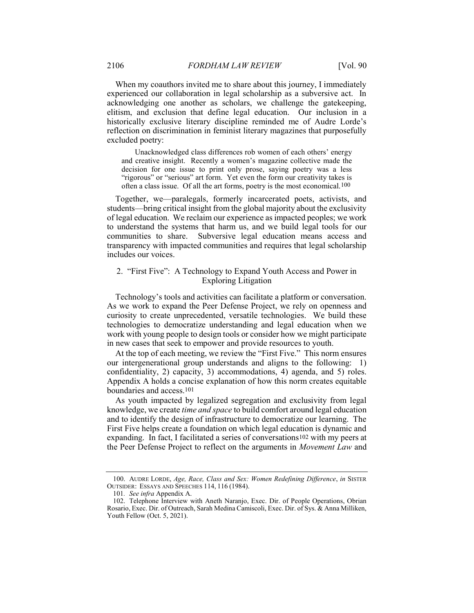When my coauthors invited me to share about this journey, I immediately experienced our collaboration in legal scholarship as a subversive act. In acknowledging one another as scholars, we challenge the gatekeeping, elitism, and exclusion that define legal education. Our inclusion in a historically exclusive literary discipline reminded me of Audre Lorde's reflection on discrimination in feminist literary magazines that purposefully excluded poetry:

Unacknowledged class differences rob women of each others' energy and creative insight. Recently a women's magazine collective made the decision for one issue to print only prose, saying poetry was a less "rigorous" or "serious" art form. Yet even the form our creativity takes is often a class issue. Of all the art forms, poetry is the most economical.100

Together, we—paralegals, formerly incarcerated poets, activists, and students—bring critical insight from the global majority about the exclusivity of legal education. We reclaim our experience as impacted peoples; we work to understand the systems that harm us, and we build legal tools for our communities to share. Subversive legal education means access and transparency with impacted communities and requires that legal scholarship includes our voices.

# 2. "First Five": A Technology to Expand Youth Access and Power in Exploring Litigation

Technology's tools and activities can facilitate a platform or conversation. As we work to expand the Peer Defense Project, we rely on openness and curiosity to create unprecedented, versatile technologies. We build these technologies to democratize understanding and legal education when we work with young people to design tools or consider how we might participate in new cases that seek to empower and provide resources to youth.

At the top of each meeting, we review the "First Five." This norm ensures our intergenerational group understands and aligns to the following: 1) confidentiality, 2) capacity, 3) accommodations, 4) agenda, and 5) roles. Appendix A holds a concise explanation of how this norm creates equitable boundaries and access.101

As youth impacted by legalized segregation and exclusivity from legal knowledge, we create time and space to build comfort around legal education and to identify the design of infrastructure to democratize our learning. The First Five helps create a foundation on which legal education is dynamic and expanding. In fact, I facilitated a series of conversations<sup>102</sup> with my peers at the Peer Defense Project to reflect on the arguments in Movement Law and

<sup>100.</sup> AUDRE LORDE, Age, Race, Class and Sex: Women Redefining Difference, in SISTER OUTSIDER: ESSAYS AND SPEECHES 114, 116 (1984).

<sup>101</sup>. See infra Appendix A.

 <sup>102.</sup> Telephone Interview with Aneth Naranjo, Exec. Dir. of People Operations, Obrian Rosario, Exec. Dir. of Outreach, Sarah Medina Camiscoli, Exec. Dir. of Sys. & Anna Milliken, Youth Fellow (Oct. 5, 2021).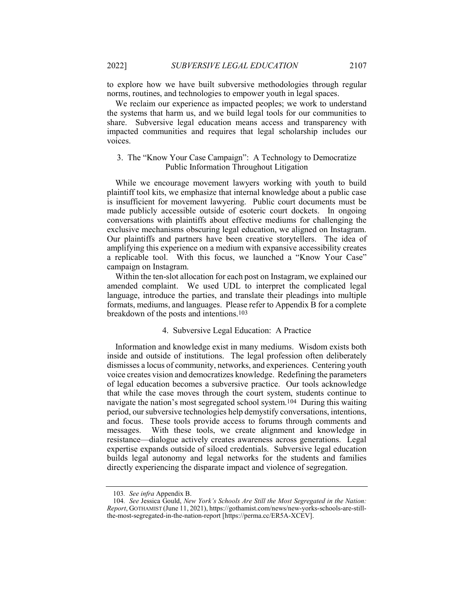to explore how we have built subversive methodologies through regular norms, routines, and technologies to empower youth in legal spaces.

We reclaim our experience as impacted peoples; we work to understand the systems that harm us, and we build legal tools for our communities to share. Subversive legal education means access and transparency with impacted communities and requires that legal scholarship includes our voices.

# 3. The "Know Your Case Campaign": A Technology to Democratize Public Information Throughout Litigation

While we encourage movement lawyers working with youth to build plaintiff tool kits, we emphasize that internal knowledge about a public case is insufficient for movement lawyering. Public court documents must be made publicly accessible outside of esoteric court dockets. In ongoing conversations with plaintiffs about effective mediums for challenging the exclusive mechanisms obscuring legal education, we aligned on Instagram. Our plaintiffs and partners have been creative storytellers. The idea of amplifying this experience on a medium with expansive accessibility creates a replicable tool. With this focus, we launched a "Know Your Case" campaign on Instagram.

Within the ten-slot allocation for each post on Instagram, we explained our amended complaint. We used UDL to interpret the complicated legal language, introduce the parties, and translate their pleadings into multiple formats, mediums, and languages. Please refer to Appendix B for a complete breakdown of the posts and intentions.103

#### 4. Subversive Legal Education: A Practice

Information and knowledge exist in many mediums. Wisdom exists both inside and outside of institutions. The legal profession often deliberately dismisses a locus of community, networks, and experiences. Centering youth voice creates vision and democratizes knowledge. Redefining the parameters of legal education becomes a subversive practice. Our tools acknowledge that while the case moves through the court system, students continue to navigate the nation's most segregated school system.104 During this waiting period, our subversive technologies help demystify conversations, intentions, and focus. These tools provide access to forums through comments and messages. With these tools, we create alignment and knowledge in resistance—dialogue actively creates awareness across generations. Legal expertise expands outside of siloed credentials. Subversive legal education builds legal autonomy and legal networks for the students and families directly experiencing the disparate impact and violence of segregation.

<sup>103</sup>. See infra Appendix B.

<sup>104</sup>. See Jessica Gould, New York's Schools Are Still the Most Segregated in the Nation: Report, GOTHAMIST (June 11, 2021), https://gothamist.com/news/new-yorks-schools-are-stillthe-most-segregated-in-the-nation-report [https://perma.cc/ER5A-XCEV].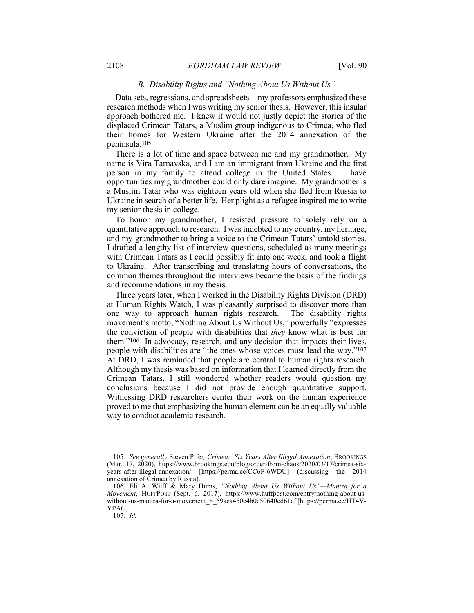# B. Disability Rights and "Nothing About Us Without Us"

Data sets, regressions, and spreadsheets—my professors emphasized these research methods when I was writing my senior thesis. However, this insular approach bothered me. I knew it would not justly depict the stories of the displaced Crimean Tatars, a Muslim group indigenous to Crimea, who fled their homes for Western Ukraine after the 2014 annexation of the peninsula.105

There is a lot of time and space between me and my grandmother. My name is Vira Tarnavska, and I am an immigrant from Ukraine and the first person in my family to attend college in the United States. I have opportunities my grandmother could only dare imagine. My grandmother is a Muslim Tatar who was eighteen years old when she fled from Russia to Ukraine in search of a better life. Her plight as a refugee inspired me to write my senior thesis in college.

To honor my grandmother, I resisted pressure to solely rely on a quantitative approach to research. I was indebted to my country, my heritage, and my grandmother to bring a voice to the Crimean Tatars' untold stories. I drafted a lengthy list of interview questions, scheduled as many meetings with Crimean Tatars as I could possibly fit into one week, and took a flight to Ukraine. After transcribing and translating hours of conversations, the common themes throughout the interviews became the basis of the findings and recommendations in my thesis.

Three years later, when I worked in the Disability Rights Division (DRD) at Human Rights Watch, I was pleasantly surprised to discover more than one way to approach human rights research. The disability rights movement's motto, "Nothing About Us Without Us," powerfully "expresses the conviction of people with disabilities that they know what is best for them."106 In advocacy, research, and any decision that impacts their lives, people with disabilities are "the ones whose voices must lead the way."107 At DRD, I was reminded that people are central to human rights research. Although my thesis was based on information that I learned directly from the Crimean Tatars, I still wondered whether readers would question my conclusions because I did not provide enough quantitative support. Witnessing DRD researchers center their work on the human experience proved to me that emphasizing the human element can be an equally valuable way to conduct academic research.

<sup>105.</sup> See generally Steven Pifer, Crimea: Six Years After Illegal Annexation, BROOKINGS (Mar. 17, 2020), https://www.brookings.edu/blog/order-from-chaos/2020/03/17/crimea-sixyears-after-illegal-annexation/ [https://perma.cc/CC6F-6WDU] (discussing the 2014 annexation of Crimea by Russia).

 <sup>106.</sup> Eli A. Wilff & Mary Hums, "Nothing About Us Without Us"—Mantra for a Movement, HUFFPOST (Sept. 6, 2017), https://www.huffpost.com/entry/nothing-about-uswithout-us-mantra-for-a-movement b 59aea450e4b0c50640cd61cf [https://perma.cc/HT4V-YPAG].

<sup>107</sup>. Id.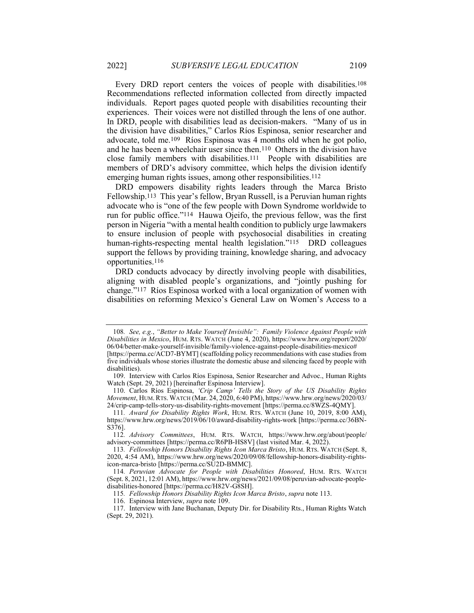Every DRD report centers the voices of people with disabilities.108 Recommendations reflected information collected from directly impacted individuals. Report pages quoted people with disabilities recounting their experiences. Their voices were not distilled through the lens of one author. In DRD, people with disabilities lead as decision-makers. "Many of us in the division have disabilities," Carlos Ríos Espinosa, senior researcher and advocate, told me.109 Ríos Espinosa was 4 months old when he got polio, and he has been a wheelchair user since then.110 Others in the division have close family members with disabilities.111 People with disabilities are members of DRD's advisory committee, which helps the division identify emerging human rights issues, among other responsibilities.112

DRD empowers disability rights leaders through the Marca Bristo Fellowship.113 This year's fellow, Bryan Russell, is a Peruvian human rights advocate who is "one of the few people with Down Syndrome worldwide to run for public office."114 Hauwa Ojeifo, the previous fellow, was the first person in Nigeria "with a mental health condition to publicly urge lawmakers to ensure inclusion of people with psychosocial disabilities in creating human-rights-respecting mental health legislation."<sup>115</sup> DRD colleagues support the fellows by providing training, knowledge sharing, and advocacy opportunities.116

DRD conducts advocacy by directly involving people with disabilities, aligning with disabled people's organizations, and "jointly pushing for change."117 Ríos Espinosa worked with a local organization of women with disabilities on reforming Mexico's General Law on Women's Access to a

<sup>108</sup>. See, e.g., "Better to Make Yourself Invisible": Family Violence Against People with Disabilities in Mexico, HUM. RTS. WATCH (June 4, 2020), https://www.hrw.org/report/2020/ 06/04/better-make-yourself-invisible/family-violence-against-people-disabilities-mexico# [https://perma.cc/ACD7-BYMT] (scaffolding policy recommendations with case studies from five individuals whose stories illustrate the domestic abuse and silencing faced by people with disabilities).

 <sup>109.</sup> Interview with Carlos Ríos Espinosa, Senior Researcher and Advoc., Human Rights Watch (Sept. 29, 2021) [hereinafter Espinosa Interview].

 <sup>110.</sup> Carlos Ríos Espinosa, 'Crip Camp' Tells the Story of the US Disability Rights Movement, HUM.RTS. WATCH (Mar. 24, 2020, 6:40 PM), https://www.hrw.org/news/2020/03/ 24/crip-camp-tells-story-us-disability-rights-movement [https://perma.cc/8WZS-4QMY].

<sup>111</sup>. Award for Disability Rights Work, HUM. RTS. WATCH (June 10, 2019, 8:00 AM), https://www.hrw.org/news/2019/06/10/award-disability-rights-work [https://perma.cc/36BN-S376].

<sup>112</sup>. Advisory Committees, HUM. RTS. WATCH, https://www.hrw.org/about/people/ advisory-committees [https://perma.cc/R6PB-HS8V] (last visited Mar. 4, 2022).

<sup>113</sup>. Fellowship Honors Disability Rights Icon Marca Bristo, HUM. RTS. WATCH (Sept. 8, 2020, 4:54 AM), https://www.hrw.org/news/2020/09/08/fellowship-honors-disability-rightsicon-marca-bristo [https://perma.cc/SU2D-BMMC].

<sup>114.</sup> Peruvian Advocate for People with Disabilities Honored, HUM. RTS. WATCH (Sept. 8, 2021, 12:01 AM), https://www.hrw.org/news/2021/09/08/peruvian-advocate-peopledisabilities-honored [https://perma.cc/H82V-G8SH].

<sup>115</sup>. Fellowship Honors Disability Rights Icon Marca Bristo, supra note 113.

 <sup>116.</sup> Espinosa Interview, supra note 109.

 <sup>117.</sup> Interview with Jane Buchanan, Deputy Dir. for Disability Rts., Human Rights Watch (Sept. 29, 2021).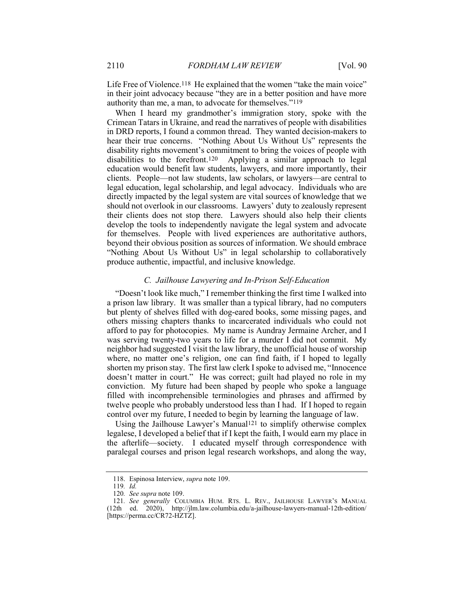Life Free of Violence.<sup>118</sup> He explained that the women "take the main voice" in their joint advocacy because "they are in a better position and have more authority than me, a man, to advocate for themselves."119

When I heard my grandmother's immigration story, spoke with the Crimean Tatars in Ukraine, and read the narratives of people with disabilities in DRD reports, I found a common thread. They wanted decision-makers to hear their true concerns. "Nothing About Us Without Us" represents the disability rights movement's commitment to bring the voices of people with disabilities to the forefront.120 Applying a similar approach to legal education would benefit law students, lawyers, and more importantly, their clients. People—not law students, law scholars, or lawyers—are central to legal education, legal scholarship, and legal advocacy. Individuals who are directly impacted by the legal system are vital sources of knowledge that we should not overlook in our classrooms. Lawyers' duty to zealously represent their clients does not stop there. Lawyers should also help their clients develop the tools to independently navigate the legal system and advocate for themselves. People with lived experiences are authoritative authors, beyond their obvious position as sources of information. We should embrace "Nothing About Us Without Us" in legal scholarship to collaboratively produce authentic, impactful, and inclusive knowledge.

### C. Jailhouse Lawyering and In-Prison Self-Education

"Doesn't look like much," I remember thinking the first time I walked into a prison law library. It was smaller than a typical library, had no computers but plenty of shelves filled with dog-eared books, some missing pages, and others missing chapters thanks to incarcerated individuals who could not afford to pay for photocopies. My name is Aundray Jermaine Archer, and I was serving twenty-two years to life for a murder I did not commit. My neighbor had suggested I visit the law library, the unofficial house of worship where, no matter one's religion, one can find faith, if I hoped to legally shorten my prison stay. The first law clerk I spoke to advised me, "Innocence doesn't matter in court." He was correct; guilt had played no role in my conviction. My future had been shaped by people who spoke a language filled with incomprehensible terminologies and phrases and affirmed by twelve people who probably understood less than I had. If I hoped to regain control over my future, I needed to begin by learning the language of law.

Using the Jailhouse Lawyer's Manual<sup>121</sup> to simplify otherwise complex legalese, I developed a belief that if I kept the faith, I would earn my place in the afterlife—society. I educated myself through correspondence with paralegal courses and prison legal research workshops, and along the way,

 <sup>118.</sup> Espinosa Interview, supra note 109.

<sup>119</sup>. Id.

<sup>120</sup>. See supra note 109.

<sup>121</sup>. See generally COLUMBIA HUM. RTS. L. REV., JAILHOUSE LAWYER'S MANUAL (12th ed. 2020), http://jlm.law.columbia.edu/a-jailhouse-lawyers-manual-12th-edition/ [https://perma.cc/CR72-HZTZ].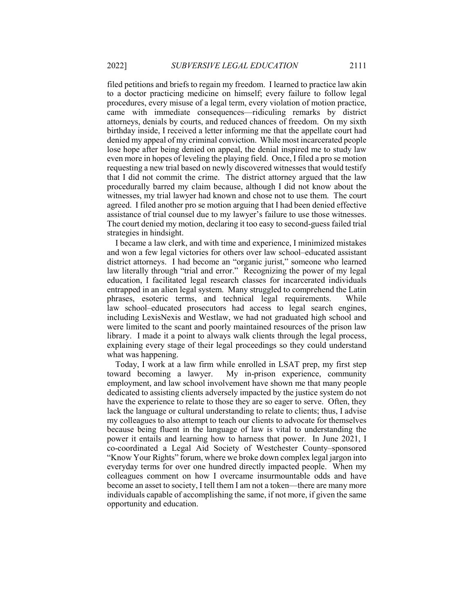filed petitions and briefs to regain my freedom. I learned to practice law akin to a doctor practicing medicine on himself; every failure to follow legal procedures, every misuse of a legal term, every violation of motion practice, came with immediate consequences—ridiculing remarks by district attorneys, denials by courts, and reduced chances of freedom. On my sixth birthday inside, I received a letter informing me that the appellate court had denied my appeal of my criminal conviction. While most incarcerated people lose hope after being denied on appeal, the denial inspired me to study law even more in hopes of leveling the playing field. Once, I filed a pro se motion requesting a new trial based on newly discovered witnesses that would testify that I did not commit the crime. The district attorney argued that the law procedurally barred my claim because, although I did not know about the witnesses, my trial lawyer had known and chose not to use them. The court agreed. I filed another pro se motion arguing that I had been denied effective assistance of trial counsel due to my lawyer's failure to use those witnesses. The court denied my motion, declaring it too easy to second-guess failed trial strategies in hindsight.

I became a law clerk, and with time and experience, I minimized mistakes and won a few legal victories for others over law school–educated assistant district attorneys. I had become an "organic jurist," someone who learned law literally through "trial and error." Recognizing the power of my legal education, I facilitated legal research classes for incarcerated individuals entrapped in an alien legal system. Many struggled to comprehend the Latin phrases, esoteric terms, and technical legal requirements. While law school–educated prosecutors had access to legal search engines, including LexisNexis and Westlaw, we had not graduated high school and were limited to the scant and poorly maintained resources of the prison law library. I made it a point to always walk clients through the legal process, explaining every stage of their legal proceedings so they could understand what was happening.

Today, I work at a law firm while enrolled in LSAT prep, my first step toward becoming a lawyer. My in-prison experience, community employment, and law school involvement have shown me that many people dedicated to assisting clients adversely impacted by the justice system do not have the experience to relate to those they are so eager to serve. Often, they lack the language or cultural understanding to relate to clients; thus, I advise my colleagues to also attempt to teach our clients to advocate for themselves because being fluent in the language of law is vital to understanding the power it entails and learning how to harness that power. In June 2021, I co-coordinated a Legal Aid Society of Westchester County–sponsored "Know Your Rights" forum, where we broke down complex legal jargon into everyday terms for over one hundred directly impacted people. When my colleagues comment on how I overcame insurmountable odds and have become an asset to society, I tell them I am not a token—there are many more individuals capable of accomplishing the same, if not more, if given the same opportunity and education.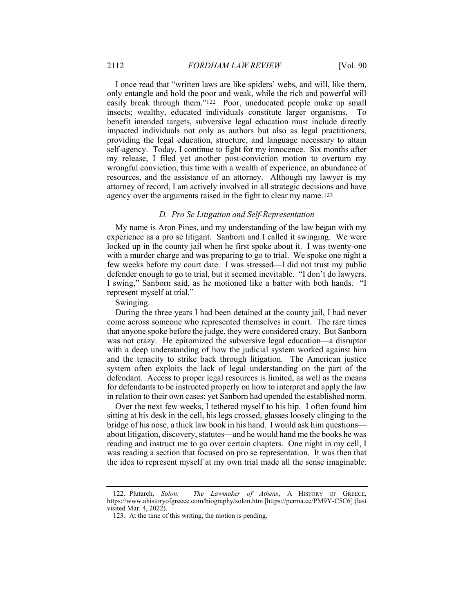I once read that "written laws are like spiders' webs, and will, like them, only entangle and hold the poor and weak, while the rich and powerful will easily break through them."122 Poor, uneducated people make up small insects; wealthy, educated individuals constitute larger organisms. To benefit intended targets, subversive legal education must include directly impacted individuals not only as authors but also as legal practitioners, providing the legal education, structure, and language necessary to attain self-agency. Today, I continue to fight for my innocence. Six months after my release, I filed yet another post-conviction motion to overturn my wrongful conviction, this time with a wealth of experience, an abundance of resources, and the assistance of an attorney. Although my lawyer is my attorney of record, I am actively involved in all strategic decisions and have agency over the arguments raised in the fight to clear my name.123

### D. Pro Se Litigation and Self-Representation

My name is Aron Pines, and my understanding of the law began with my experience as a pro se litigant. Sanborn and I called it swinging. We were locked up in the county jail when he first spoke about it. I was twenty-one with a murder charge and was preparing to go to trial. We spoke one night a few weeks before my court date. I was stressed—I did not trust my public defender enough to go to trial, but it seemed inevitable. "I don't do lawyers. I swing," Sanborn said, as he motioned like a batter with both hands. "I represent myself at trial."

Swinging.

During the three years I had been detained at the county jail, I had never come across someone who represented themselves in court. The rare times that anyone spoke before the judge, they were considered crazy. But Sanborn was not crazy. He epitomized the subversive legal education—a disruptor with a deep understanding of how the judicial system worked against him and the tenacity to strike back through litigation. The American justice system often exploits the lack of legal understanding on the part of the defendant. Access to proper legal resources is limited, as well as the means for defendants to be instructed properly on how to interpret and apply the law in relation to their own cases; yet Sanborn had upended the established norm.

Over the next few weeks, I tethered myself to his hip. I often found him sitting at his desk in the cell, his legs crossed, glasses loosely clinging to the bridge of his nose, a thick law book in his hand. I would ask him questions about litigation, discovery, statutes—and he would hand me the books he was reading and instruct me to go over certain chapters. One night in my cell, I was reading a section that focused on pro se representation. It was then that the idea to represent myself at my own trial made all the sense imaginable.

 <sup>122.</sup> Plutarch, Solon: The Lawmaker of Athens, A HISTORY OF GREECE, https://www.ahistoryofgreece.com/biography/solon.htm [https://perma.cc/PM9Y-C5C6] (last visited Mar. 4, 2022).

 <sup>123.</sup> At the time of this writing, the motion is pending.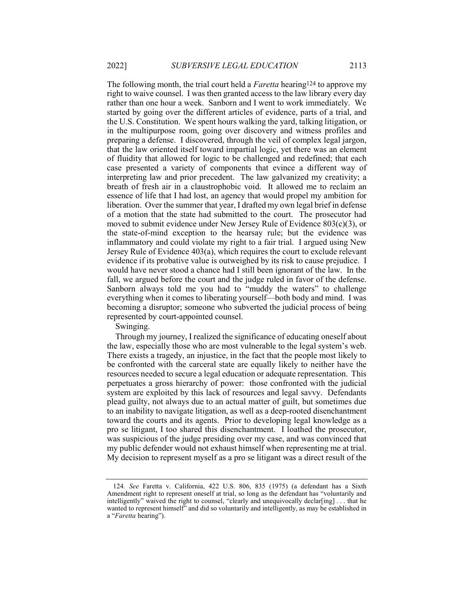The following month, the trial court held a *Faretta* hearing<sup>124</sup> to approve my right to waive counsel. I was then granted access to the law library every day rather than one hour a week. Sanborn and I went to work immediately. We started by going over the different articles of evidence, parts of a trial, and the U.S. Constitution. We spent hours walking the yard, talking litigation, or in the multipurpose room, going over discovery and witness profiles and preparing a defense. I discovered, through the veil of complex legal jargon, that the law oriented itself toward impartial logic, yet there was an element of fluidity that allowed for logic to be challenged and redefined; that each case presented a variety of components that evince a different way of interpreting law and prior precedent. The law galvanized my creativity; a breath of fresh air in a claustrophobic void. It allowed me to reclaim an essence of life that I had lost, an agency that would propel my ambition for liberation. Over the summer that year, I drafted my own legal brief in defense of a motion that the state had submitted to the court. The prosecutor had moved to submit evidence under New Jersey Rule of Evidence 803(c)(3), or the state-of-mind exception to the hearsay rule; but the evidence was inflammatory and could violate my right to a fair trial. I argued using New Jersey Rule of Evidence 403(a), which requires the court to exclude relevant evidence if its probative value is outweighed by its risk to cause prejudice. I would have never stood a chance had I still been ignorant of the law. In the fall, we argued before the court and the judge ruled in favor of the defense. Sanborn always told me you had to "muddy the waters" to challenge everything when it comes to liberating yourself—both body and mind. I was becoming a disruptor; someone who subverted the judicial process of being represented by court-appointed counsel.

Swinging.

Through my journey, I realized the significance of educating oneself about the law, especially those who are most vulnerable to the legal system's web. There exists a tragedy, an injustice, in the fact that the people most likely to be confronted with the carceral state are equally likely to neither have the resources needed to secure a legal education or adequate representation. This perpetuates a gross hierarchy of power: those confronted with the judicial system are exploited by this lack of resources and legal savvy. Defendants plead guilty, not always due to an actual matter of guilt, but sometimes due to an inability to navigate litigation, as well as a deep-rooted disenchantment toward the courts and its agents. Prior to developing legal knowledge as a pro se litigant, I too shared this disenchantment. I loathed the prosecutor, was suspicious of the judge presiding over my case, and was convinced that my public defender would not exhaust himself when representing me at trial. My decision to represent myself as a pro se litigant was a direct result of the

<sup>124</sup>. See Faretta v. California, 422 U.S. 806, 835 (1975) (a defendant has a Sixth Amendment right to represent oneself at trial, so long as the defendant has "voluntarily and intelligently" waived the right to counsel, "clearly and unequivocally declar[ing] ... that he wanted to represent himself" and did so voluntarily and intelligently, as may be established in a "Faretta hearing").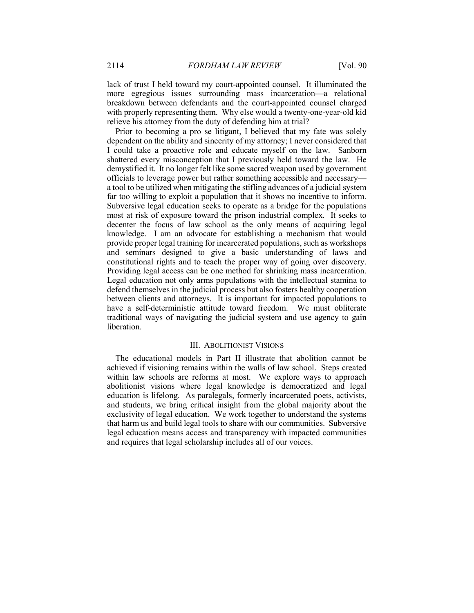lack of trust I held toward my court-appointed counsel. It illuminated the more egregious issues surrounding mass incarceration—a relational breakdown between defendants and the court-appointed counsel charged with properly representing them. Why else would a twenty-one-year-old kid relieve his attorney from the duty of defending him at trial?

Prior to becoming a pro se litigant, I believed that my fate was solely dependent on the ability and sincerity of my attorney; I never considered that I could take a proactive role and educate myself on the law. Sanborn shattered every misconception that I previously held toward the law. He demystified it. It no longer felt like some sacred weapon used by government officials to leverage power but rather something accessible and necessary a tool to be utilized when mitigating the stifling advances of a judicial system far too willing to exploit a population that it shows no incentive to inform. Subversive legal education seeks to operate as a bridge for the populations most at risk of exposure toward the prison industrial complex. It seeks to decenter the focus of law school as the only means of acquiring legal knowledge. I am an advocate for establishing a mechanism that would provide proper legal training for incarcerated populations, such as workshops and seminars designed to give a basic understanding of laws and constitutional rights and to teach the proper way of going over discovery. Providing legal access can be one method for shrinking mass incarceration. Legal education not only arms populations with the intellectual stamina to defend themselves in the judicial process but also fosters healthy cooperation between clients and attorneys. It is important for impacted populations to have a self-deterministic attitude toward freedom. We must obliterate traditional ways of navigating the judicial system and use agency to gain liberation.

# III. ABOLITIONIST VISIONS

The educational models in Part II illustrate that abolition cannot be achieved if visioning remains within the walls of law school. Steps created within law schools are reforms at most. We explore ways to approach abolitionist visions where legal knowledge is democratized and legal education is lifelong. As paralegals, formerly incarcerated poets, activists, and students, we bring critical insight from the global majority about the exclusivity of legal education. We work together to understand the systems that harm us and build legal tools to share with our communities. Subversive legal education means access and transparency with impacted communities and requires that legal scholarship includes all of our voices.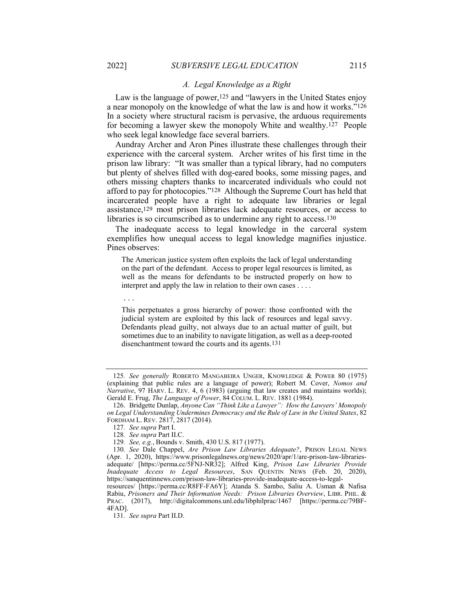## A. Legal Knowledge as a Right

Law is the language of power,<sup>125</sup> and "lawyers in the United States enjoy a near monopoly on the knowledge of what the law is and how it works."126 In a society where structural racism is pervasive, the arduous requirements for becoming a lawyer skew the monopoly White and wealthy.127 People who seek legal knowledge face several barriers.

Aundray Archer and Aron Pines illustrate these challenges through their experience with the carceral system. Archer writes of his first time in the prison law library: "It was smaller than a typical library, had no computers but plenty of shelves filled with dog-eared books, some missing pages, and others missing chapters thanks to incarcerated individuals who could not afford to pay for photocopies."128 Although the Supreme Court has held that incarcerated people have a right to adequate law libraries or legal assistance,129 most prison libraries lack adequate resources, or access to libraries is so circumscribed as to undermine any right to access 130

The inadequate access to legal knowledge in the carceral system exemplifies how unequal access to legal knowledge magnifies injustice. Pines observes:

The American justice system often exploits the lack of legal understanding on the part of the defendant. Access to proper legal resources is limited, as well as the means for defendants to be instructed properly on how to interpret and apply the law in relation to their own cases . . . .

. . .

This perpetuates a gross hierarchy of power: those confronted with the judicial system are exploited by this lack of resources and legal savvy. Defendants plead guilty, not always due to an actual matter of guilt, but sometimes due to an inability to navigate litigation, as well as a deep-rooted disenchantment toward the courts and its agents.131

<sup>125</sup>. See generally ROBERTO MANGABEIRA UNGER, KNOWLEDGE & POWER 80 (1975) (explaining that public rules are a language of power); Robert M. Cover, Nomos and Narrative, 97 HARV. L. REV. 4, 6 (1983) (arguing that law creates and maintains worlds); Gerald E. Frug, The Language of Power, 84 COLUM. L. REV. 1881 (1984).

 <sup>126.</sup> Bridgette Dunlap, Anyone Can "Think Like a Lawyer": How the Lawyers' Monopoly on Legal Understanding Undermines Democracy and the Rule of Law in the United States, 82 FORDHAM L. REV. 2817, 2817 (2014).

<sup>127</sup>. See supra Part I.

<sup>128</sup>. See supra Part II.C.

<sup>129</sup>. See, e.g., Bounds v. Smith, 430 U.S. 817 (1977).

<sup>130.</sup> See Dale Chappel, Are Prison Law Libraries Adequate?, PRISON LEGAL NEWS (Apr. 1, 2020), https://www.prisonlegalnews.org/news/2020/apr/1/are-prison-law-librariesadequate/ [https://perma.cc/5FNJ-NR32]; Alfred King, Prison Law Libraries Provide Inadequate Access to Legal Resources, SAN QUENTIN NEWS (Feb. 20, 2020), https://sanquentinnews.com/prison-law-libraries-provide-inadequate-access-to-legal-

resources/ [https://perma.cc/R8FF-FA6Y]; Atanda S. Sambo, Saliu A. Usman & Nafisa Rabiu, Prisoners and Their Information Needs: Prison Libraries Overview, LIBR. PHIL. & PRAC. (2017), http://digitalcommons.unl.edu/libphilprac/1467 [https://perma.cc/79BF-4FAD].

<sup>131</sup>. See supra Part II.D.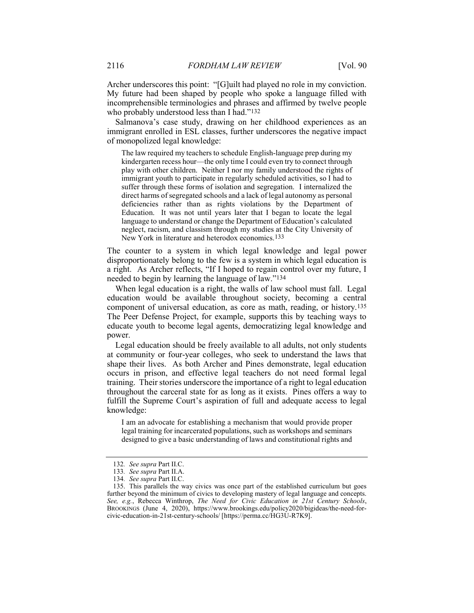Archer underscores this point: "[G]uilt had played no role in my conviction. My future had been shaped by people who spoke a language filled with incomprehensible terminologies and phrases and affirmed by twelve people who probably understood less than I had."132

Salmanova's case study, drawing on her childhood experiences as an immigrant enrolled in ESL classes, further underscores the negative impact of monopolized legal knowledge:

The law required my teachers to schedule English-language prep during my kindergarten recess hour—the only time I could even try to connect through play with other children. Neither I nor my family understood the rights of immigrant youth to participate in regularly scheduled activities, so I had to suffer through these forms of isolation and segregation. I internalized the direct harms of segregated schools and a lack of legal autonomy as personal deficiencies rather than as rights violations by the Department of Education. It was not until years later that I began to locate the legal language to understand or change the Department of Education's calculated neglect, racism, and classism through my studies at the City University of New York in literature and heterodox economics.133

The counter to a system in which legal knowledge and legal power disproportionately belong to the few is a system in which legal education is a right. As Archer reflects, "If I hoped to regain control over my future, I needed to begin by learning the language of law."134

When legal education is a right, the walls of law school must fall. Legal education would be available throughout society, becoming a central component of universal education, as core as math, reading, or history.135 The Peer Defense Project, for example, supports this by teaching ways to educate youth to become legal agents, democratizing legal knowledge and power.

Legal education should be freely available to all adults, not only students at community or four-year colleges, who seek to understand the laws that shape their lives. As both Archer and Pines demonstrate, legal education occurs in prison, and effective legal teachers do not need formal legal training. Their stories underscore the importance of a right to legal education throughout the carceral state for as long as it exists. Pines offers a way to fulfill the Supreme Court's aspiration of full and adequate access to legal knowledge:

I am an advocate for establishing a mechanism that would provide proper legal training for incarcerated populations, such as workshops and seminars designed to give a basic understanding of laws and constitutional rights and

<sup>132</sup>. See supra Part II.C.

<sup>133</sup>. See supra Part II.A.

<sup>134</sup>. See supra Part II.C.

 <sup>135.</sup> This parallels the way civics was once part of the established curriculum but goes further beyond the minimum of civics to developing mastery of legal language and concepts. See, e.g., Rebecca Winthrop, The Need for Civic Education in 21st Century Schools, BROOKINGS (June 4, 2020), https://www.brookings.edu/policy2020/bigideas/the-need-forcivic-education-in-21st-century-schools/ [https://perma.cc/HG3U-R7K9].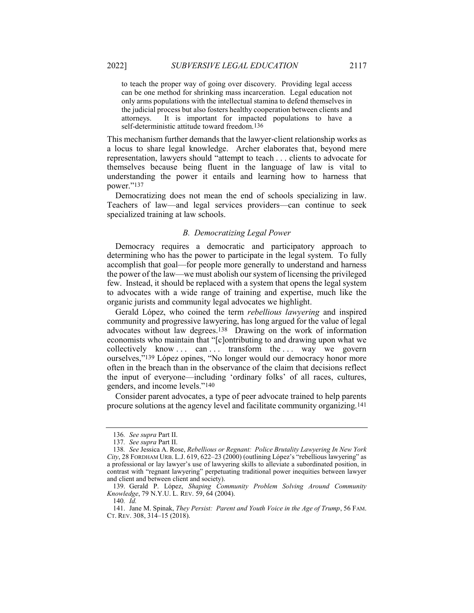to teach the proper way of going over discovery. Providing legal access can be one method for shrinking mass incarceration. Legal education not only arms populations with the intellectual stamina to defend themselves in the judicial process but also fosters healthy cooperation between clients and attorneys. It is important for impacted populations to have a self-deterministic attitude toward freedom.136

This mechanism further demands that the lawyer-client relationship works as a locus to share legal knowledge. Archer elaborates that, beyond mere representation, lawyers should "attempt to teach . . . clients to advocate for themselves because being fluent in the language of law is vital to understanding the power it entails and learning how to harness that power."137

Democratizing does not mean the end of schools specializing in law. Teachers of law—and legal services providers—can continue to seek specialized training at law schools.

#### B. Democratizing Legal Power

Democracy requires a democratic and participatory approach to determining who has the power to participate in the legal system. To fully accomplish that goal—for people more generally to understand and harness the power of the law—we must abolish our system of licensing the privileged few. Instead, it should be replaced with a system that opens the legal system to advocates with a wide range of training and expertise, much like the organic jurists and community legal advocates we highlight.

Gerald López, who coined the term rebellious lawyering and inspired community and progressive lawyering, has long argued for the value of legal advocates without law degrees.138 Drawing on the work of information economists who maintain that "[c]ontributing to and drawing upon what we collectively know ... can ... transform the ... way we govern ourselves,"139 López opines, "No longer would our democracy honor more often in the breach than in the observance of the claim that decisions reflect the input of everyone—including 'ordinary folks' of all races, cultures, genders, and income levels."140

Consider parent advocates, a type of peer advocate trained to help parents procure solutions at the agency level and facilitate community organizing.141

<sup>136.</sup> See supra Part II.

<sup>137</sup>. See supra Part II.

<sup>138</sup>. See Jessica A. Rose, Rebellious or Regnant: Police Brutality Lawyering In New York  $City, 28$  FORDHAM URB. L.J. 619, 622–23 (2000) (outlining López's "rebellious lawyering" as a professional or lay lawyer's use of lawyering skills to alleviate a subordinated position, in contrast with "regnant lawyering" perpetuating traditional power inequities between lawyer and client and between client and society).

 <sup>139.</sup> Gerald P. López, Shaping Community Problem Solving Around Community Knowledge, 79 N.Y.U. L. REV. 59, 64 (2004).

<sup>140</sup>. Id.

 <sup>141.</sup> Jane M. Spinak, They Persist: Parent and Youth Voice in the Age of Trump, 56 FAM. CT. REV. 308, 314–15 (2018).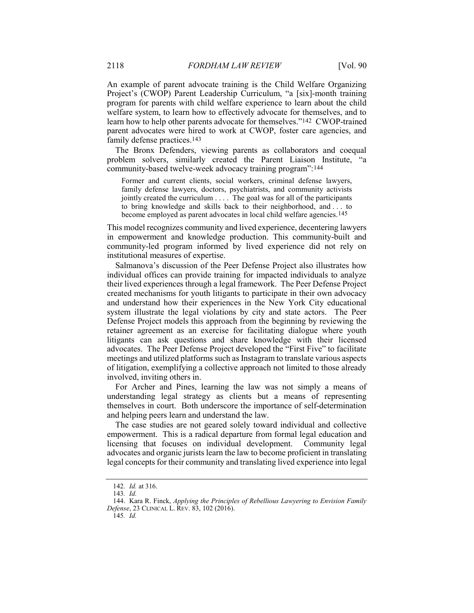An example of parent advocate training is the Child Welfare Organizing Project's (CWOP) Parent Leadership Curriculum, "a [six]-month training program for parents with child welfare experience to learn about the child welfare system, to learn how to effectively advocate for themselves, and to learn how to help other parents advocate for themselves."142 CWOP-trained parent advocates were hired to work at CWOP, foster care agencies, and family defense practices.143

The Bronx Defenders, viewing parents as collaborators and coequal problem solvers, similarly created the Parent Liaison Institute, "a community-based twelve-week advocacy training program":144

Former and current clients, social workers, criminal defense lawyers, family defense lawyers, doctors, psychiatrists, and community activists jointly created the curriculum . . . . The goal was for all of the participants to bring knowledge and skills back to their neighborhood, and . . . to become employed as parent advocates in local child welfare agencies.<sup>145</sup>

This model recognizes community and lived experience, decentering lawyers in empowerment and knowledge production. This community-built and community-led program informed by lived experience did not rely on institutional measures of expertise.

Salmanova's discussion of the Peer Defense Project also illustrates how individual offices can provide training for impacted individuals to analyze their lived experiences through a legal framework. The Peer Defense Project created mechanisms for youth litigants to participate in their own advocacy and understand how their experiences in the New York City educational system illustrate the legal violations by city and state actors. The Peer Defense Project models this approach from the beginning by reviewing the retainer agreement as an exercise for facilitating dialogue where youth litigants can ask questions and share knowledge with their licensed advocates. The Peer Defense Project developed the "First Five" to facilitate meetings and utilized platforms such as Instagram to translate various aspects of litigation, exemplifying a collective approach not limited to those already involved, inviting others in.

For Archer and Pines, learning the law was not simply a means of understanding legal strategy as clients but a means of representing themselves in court. Both underscore the importance of self-determination and helping peers learn and understand the law.

The case studies are not geared solely toward individual and collective empowerment. This is a radical departure from formal legal education and licensing that focuses on individual development. Community legal advocates and organic jurists learn the law to become proficient in translating legal concepts for their community and translating lived experience into legal

 $145$  Id.

<sup>142</sup>. Id. at 316.

<sup>143</sup>. Id.

 <sup>144.</sup> Kara R. Finck, Applying the Principles of Rebellious Lawyering to Envision Family Defense, 23 CLINICAL L. REV. 83, 102 (2016).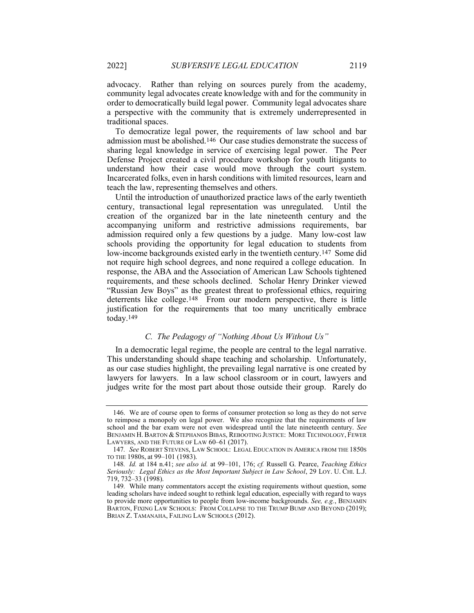advocacy. Rather than relying on sources purely from the academy, community legal advocates create knowledge with and for the community in order to democratically build legal power. Community legal advocates share a perspective with the community that is extremely underrepresented in traditional spaces.

To democratize legal power, the requirements of law school and bar admission must be abolished.146 Our case studies demonstrate the success of sharing legal knowledge in service of exercising legal power. The Peer Defense Project created a civil procedure workshop for youth litigants to understand how their case would move through the court system. Incarcerated folks, even in harsh conditions with limited resources, learn and teach the law, representing themselves and others.

Until the introduction of unauthorized practice laws of the early twentieth century, transactional legal representation was unregulated. Until the creation of the organized bar in the late nineteenth century and the accompanying uniform and restrictive admissions requirements, bar admission required only a few questions by a judge. Many low-cost law schools providing the opportunity for legal education to students from low-income backgrounds existed early in the twentieth century.147 Some did not require high school degrees, and none required a college education. In response, the ABA and the Association of American Law Schools tightened requirements, and these schools declined. Scholar Henry Drinker viewed "Russian Jew Boys" as the greatest threat to professional ethics, requiring deterrents like college.148 From our modern perspective, there is little justification for the requirements that too many uncritically embrace today.149

# C. The Pedagogy of "Nothing About Us Without Us"

In a democratic legal regime, the people are central to the legal narrative. This understanding should shape teaching and scholarship. Unfortunately, as our case studies highlight, the prevailing legal narrative is one created by lawyers for lawyers. In a law school classroom or in court, lawyers and judges write for the most part about those outside their group. Rarely do

 <sup>146.</sup> We are of course open to forms of consumer protection so long as they do not serve to reimpose a monopoly on legal power. We also recognize that the requirements of law school and the bar exam were not even widespread until the late nineteenth century. See BENJAMIN H. BARTON & STEPHANOS BIBAS, REBOOTING JUSTICE: MORE TECHNOLOGY, FEWER LAWYERS, AND THE FUTURE OF LAW 60–61 (2017).

<sup>147</sup>. See ROBERT STEVENS, LAW SCHOOL: LEGAL EDUCATION IN AMERICA FROM THE 1850S TO THE 1980S, at 99–101 (1983).

<sup>148</sup>. Id. at 184 n.41; see also id. at 99–101, 176; cf. Russell G. Pearce, Teaching Ethics Seriously: Legal Ethics as the Most Important Subject in Law School, 29 LOY. U. CHI. L.J. 719, 732–33 (1998).

<sup>149</sup>. While many commentators accept the existing requirements without question, some leading scholars have indeed sought to rethink legal education, especially with regard to ways to provide more opportunities to people from low-income backgrounds. See, e.g., BENJAMIN BARTON, FIXING LAW SCHOOLS: FROM COLLAPSE TO THE TRUMP BUMP AND BEYOND (2019); BRIAN Z. TAMANAHA, FAILING LAW SCHOOLS (2012).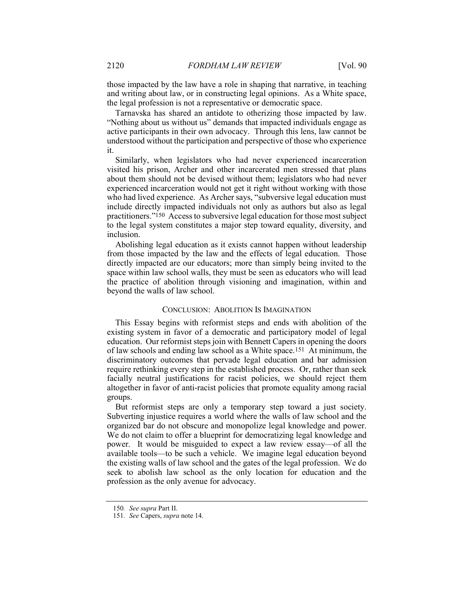those impacted by the law have a role in shaping that narrative, in teaching and writing about law, or in constructing legal opinions. As a White space, the legal profession is not a representative or democratic space.

Tarnavska has shared an antidote to otherizing those impacted by law. "Nothing about us without us" demands that impacted individuals engage as active participants in their own advocacy. Through this lens, law cannot be understood without the participation and perspective of those who experience it.

Similarly, when legislators who had never experienced incarceration visited his prison, Archer and other incarcerated men stressed that plans about them should not be devised without them; legislators who had never experienced incarceration would not get it right without working with those who had lived experience. As Archer says, "subversive legal education must include directly impacted individuals not only as authors but also as legal practitioners."150 Access to subversive legal education for those most subject to the legal system constitutes a major step toward equality, diversity, and inclusion.

Abolishing legal education as it exists cannot happen without leadership from those impacted by the law and the effects of legal education. Those directly impacted are our educators; more than simply being invited to the space within law school walls, they must be seen as educators who will lead the practice of abolition through visioning and imagination, within and beyond the walls of law school.

#### CONCLUSION: ABOLITION IS IMAGINATION

This Essay begins with reformist steps and ends with abolition of the existing system in favor of a democratic and participatory model of legal education. Our reformist steps join with Bennett Capers in opening the doors of law schools and ending law school as a White space.151 At minimum, the discriminatory outcomes that pervade legal education and bar admission require rethinking every step in the established process. Or, rather than seek facially neutral justifications for racist policies, we should reject them altogether in favor of anti-racist policies that promote equality among racial groups.

But reformist steps are only a temporary step toward a just society. Subverting injustice requires a world where the walls of law school and the organized bar do not obscure and monopolize legal knowledge and power. We do not claim to offer a blueprint for democratizing legal knowledge and power. It would be misguided to expect a law review essay—of all the available tools—to be such a vehicle. We imagine legal education beyond the existing walls of law school and the gates of the legal profession. We do seek to abolish law school as the only location for education and the profession as the only avenue for advocacy.

<sup>150.</sup> See supra Part II.

<sup>151</sup>. See Capers, supra note 14.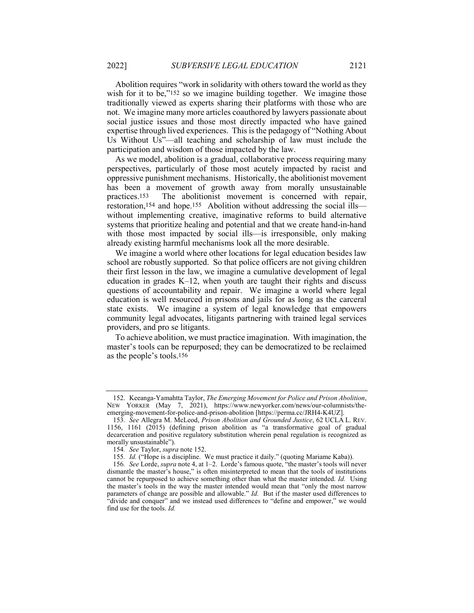Abolition requires "work in solidarity with others toward the world as they wish for it to be,"<sup>152</sup> so we imagine building together. We imagine those traditionally viewed as experts sharing their platforms with those who are not. We imagine many more articles coauthored by lawyers passionate about social justice issues and those most directly impacted who have gained expertise through lived experiences. This is the pedagogy of "Nothing About Us Without Us"—all teaching and scholarship of law must include the participation and wisdom of those impacted by the law.

As we model, abolition is a gradual, collaborative process requiring many perspectives, particularly of those most acutely impacted by racist and oppressive punishment mechanisms. Historically, the abolitionist movement has been a movement of growth away from morally unsustainable practices.153 The abolitionist movement is concerned with repair, restoration,154 and hope.155 Abolition without addressing the social ills without implementing creative, imaginative reforms to build alternative systems that prioritize healing and potential and that we create hand-in-hand with those most impacted by social ills—is irresponsible, only making already existing harmful mechanisms look all the more desirable.

We imagine a world where other locations for legal education besides law school are robustly supported. So that police officers are not giving children their first lesson in the law, we imagine a cumulative development of legal education in grades K–12, when youth are taught their rights and discuss questions of accountability and repair. We imagine a world where legal education is well resourced in prisons and jails for as long as the carceral state exists. We imagine a system of legal knowledge that empowers community legal advocates, litigants partnering with trained legal services providers, and pro se litigants.

To achieve abolition, we must practice imagination. With imagination, the master's tools can be repurposed; they can be democratized to be reclaimed as the people's tools.156

 <sup>152.</sup> Keeanga-Yamahtta Taylor, The Emerging Movement for Police and Prison Abolition, NEW YORKER (May 7, 2021), https://www.newyorker.com/news/our-columnists/theemerging-movement-for-police-and-prison-abolition [https://perma.cc/JRH4-K4UZ].

<sup>153.</sup> See Allegra M. McLeod, Prison Abolition and Grounded Justice, 62 UCLA L. REV. 1156, 1161 ( $2015$ ) (defining prison abolition as "a transformative goal of gradual decarceration and positive regulatory substitution wherein penal regulation is recognized as morally unsustainable").

<sup>154</sup>. See Taylor, supra note 152.

<sup>155</sup>. Id. ("Hope is a discipline. We must practice it daily." (quoting Mariame Kaba)).

<sup>156</sup>. See Lorde, supra note 4, at 1–2. Lorde's famous quote, "the master's tools will never dismantle the master's house," is often misinterpreted to mean that the tools of institutions cannot be repurposed to achieve something other than what the master intended. Id. Using the master's tools in the way the master intended would mean that "only the most narrow parameters of change are possible and allowable." Id. But if the master used differences to "divide and conquer" and we instead used differences to "define and empower," we would find use for the tools. Id.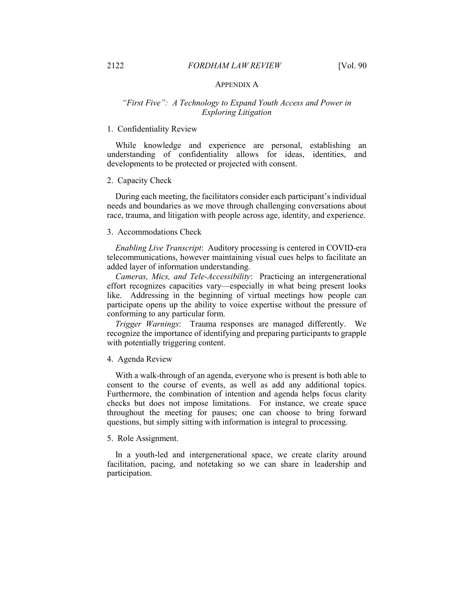# APPENDIX A

# "First Five": A Technology to Expand Youth Access and Power in Exploring Litigation

## 1. Confidentiality Review

While knowledge and experience are personal, establishing an understanding of confidentiality allows for ideas, identities, and developments to be protected or projected with consent.

#### 2. Capacity Check

During each meeting, the facilitators consider each participant's individual needs and boundaries as we move through challenging conversations about race, trauma, and litigation with people across age, identity, and experience.

# 3. Accommodations Check

Enabling Live Transcript: Auditory processing is centered in COVID-era telecommunications, however maintaining visual cues helps to facilitate an added layer of information understanding.

Cameras, Mics, and Tele-Accessibility: Practicing an intergenerational effort recognizes capacities vary—especially in what being present looks like. Addressing in the beginning of virtual meetings how people can participate opens up the ability to voice expertise without the pressure of conforming to any particular form.

Trigger Warnings: Trauma responses are managed differently. We recognize the importance of identifying and preparing participants to grapple with potentially triggering content.

#### 4. Agenda Review

With a walk-through of an agenda, everyone who is present is both able to consent to the course of events, as well as add any additional topics. Furthermore, the combination of intention and agenda helps focus clarity checks but does not impose limitations. For instance, we create space throughout the meeting for pauses; one can choose to bring forward questions, but simply sitting with information is integral to processing.

# 5. Role Assignment.

In a youth-led and intergenerational space, we create clarity around facilitation, pacing, and notetaking so we can share in leadership and participation.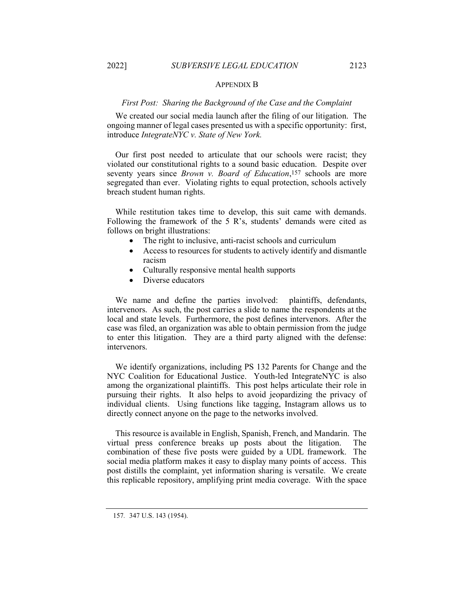#### APPENDIX B

# First Post: Sharing the Background of the Case and the Complaint

We created our social media launch after the filing of our litigation. The ongoing manner of legal cases presented us with a specific opportunity: first, introduce IntegrateNYC v. State of New York.

Our first post needed to articulate that our schools were racist; they violated our constitutional rights to a sound basic education. Despite over seventy years since *Brown v. Board of Education*,<sup>157</sup> schools are more segregated than ever. Violating rights to equal protection, schools actively breach student human rights.

While restitution takes time to develop, this suit came with demands. Following the framework of the 5 R's, students' demands were cited as follows on bright illustrations:

- The right to inclusive, anti-racist schools and curriculum
- Access to resources for students to actively identify and dismantle racism
- Culturally responsive mental health supports
- Diverse educators

We name and define the parties involved: plaintiffs, defendants, intervenors. As such, the post carries a slide to name the respondents at the local and state levels. Furthermore, the post defines intervenors. After the case was filed, an organization was able to obtain permission from the judge to enter this litigation. They are a third party aligned with the defense: intervenors.

We identify organizations, including PS 132 Parents for Change and the NYC Coalition for Educational Justice. Youth-led IntegrateNYC is also among the organizational plaintiffs. This post helps articulate their role in pursuing their rights. It also helps to avoid jeopardizing the privacy of individual clients. Using functions like tagging, Instagram allows us to directly connect anyone on the page to the networks involved.

This resource is available in English, Spanish, French, and Mandarin. The virtual press conference breaks up posts about the litigation. The combination of these five posts were guided by a UDL framework. The social media platform makes it easy to display many points of access. This post distills the complaint, yet information sharing is versatile. We create this replicable repository, amplifying print media coverage. With the space

<sup>157</sup>. 347 U.S. 143 (1954).